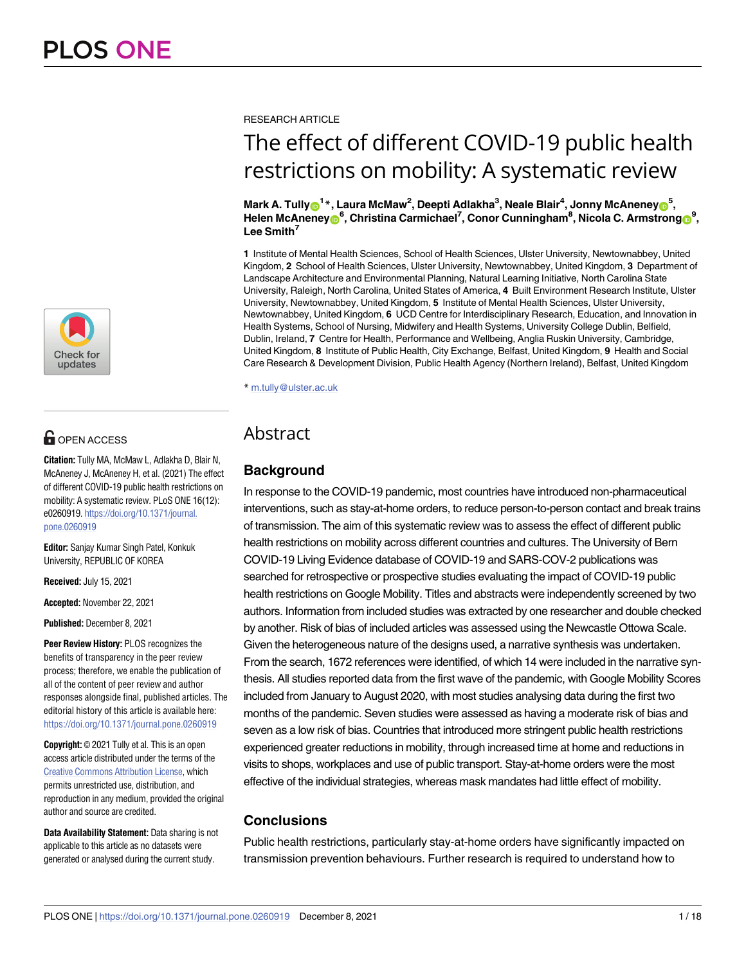

# **G** OPEN ACCESS

**Citation:** Tully MA, McMaw L, Adlakha D, Blair N, McAneney J, McAneney H, et al. (2021) The effect of different COVID-19 public health restrictions on mobility: A systematic review. PLoS ONE 16(12): e0260919. [https://doi.org/10.1371/journal.](https://doi.org/10.1371/journal.pone.0260919) [pone.0260919](https://doi.org/10.1371/journal.pone.0260919)

**Editor:** Sanjay Kumar Singh Patel, Konkuk University, REPUBLIC OF KOREA

**Received:** July 15, 2021

**Accepted:** November 22, 2021

**Published:** December 8, 2021

**Peer Review History:** PLOS recognizes the benefits of transparency in the peer review process; therefore, we enable the publication of all of the content of peer review and author responses alongside final, published articles. The editorial history of this article is available here: <https://doi.org/10.1371/journal.pone.0260919>

**Copyright:** © 2021 Tully et al. This is an open access article distributed under the terms of the Creative Commons [Attribution](http://creativecommons.org/licenses/by/4.0/) License, which permits unrestricted use, distribution, and reproduction in any medium, provided the original author and source are credited.

**Data Availability Statement:** Data sharing is not applicable to this article as no datasets were generated or analysed during the current study.

RESEARCH ARTICLE

# The effect of different COVID-19 public health restrictions on mobility: A systematic review

 $\mathbf{M}$ ark A. Tully $\mathbf{O}^{1*}$ , Laura McMaw<sup>2</sup>, Deepti Adlakha $^3$ , Neale Blair $^4$ , Jonny McAneney $\mathbf{O}^{5}$ ,  $H$ elen McAneney $\mathbf{0}^6$ , Christina Carmichael<sup>7</sup>, Conor Cunningham<sup>8</sup>, Nicola C. Armstrong $\mathbf{0}^9$ , **Lee Smith7**

**1** Institute of Mental Health Sciences, School of Health Sciences, Ulster University, Newtownabbey, United Kingdom, **2** School of Health Sciences, Ulster University, Newtownabbey, United Kingdom, **3** Department of Landscape Architecture and Environmental Planning, Natural Learning Initiative, North Carolina State University, Raleigh, North Carolina, United States of America, **4** Built Environment Research Institute, Ulster University, Newtownabbey, United Kingdom, **5** Institute of Mental Health Sciences, Ulster University, Newtownabbey, United Kingdom, **6** UCD Centre for Interdisciplinary Research, Education, and Innovation in Health Systems, School of Nursing, Midwifery and Health Systems, University College Dublin, Belfield, Dublin, Ireland, **7** Centre for Health, Performance and Wellbeing, Anglia Ruskin University, Cambridge, United Kingdom, **8** Institute of Public Health, City Exchange, Belfast, United Kingdom, **9** Health and Social Care Research & Development Division, Public Health Agency (Northern Ireland), Belfast, United Kingdom

\* m.tully@ulster.ac.uk

# Abstract

# **Background**

In response to the COVID-19 pandemic, most countries have introduced non-pharmaceutical interventions, such as stay-at-home orders, to reduce person-to-person contact and break trains of transmission. The aim of this systematic review was to assess the effect of different public health restrictions on mobility across different countries and cultures. The University of Bern COVID-19 Living Evidence database of COVID-19 and SARS-COV-2 publications was searched for retrospective or prospective studies evaluating the impact of COVID-19 public health restrictions on Google Mobility. Titles and abstracts were independently screened by two authors. Information from included studies was extracted by one researcher and double checked by another. Risk of bias of included articles was assessed using the Newcastle Ottowa Scale. Given the heterogeneous nature of the designs used, a narrative synthesis was undertaken. From the search, 1672 references were identified, of which 14 were included in the narrative synthesis. All studies reported data from the first wave of the pandemic, with Google Mobility Scores included from January to August 2020, with most studies analysing data during the first two months of the pandemic. Seven studies were assessed as having a moderate risk of bias and seven as a low risk of bias. Countries that introduced more stringent public health restrictions experienced greater reductions in mobility, through increased time at home and reductions in visits to shops, workplaces and use of public transport. Stay-at-home orders were the most effective of the individual strategies, whereas mask mandates had little effect of mobility.

# **Conclusions**

Public health restrictions, particularly stay-at-home orders have significantly impacted on transmission prevention behaviours. Further research is required to understand how to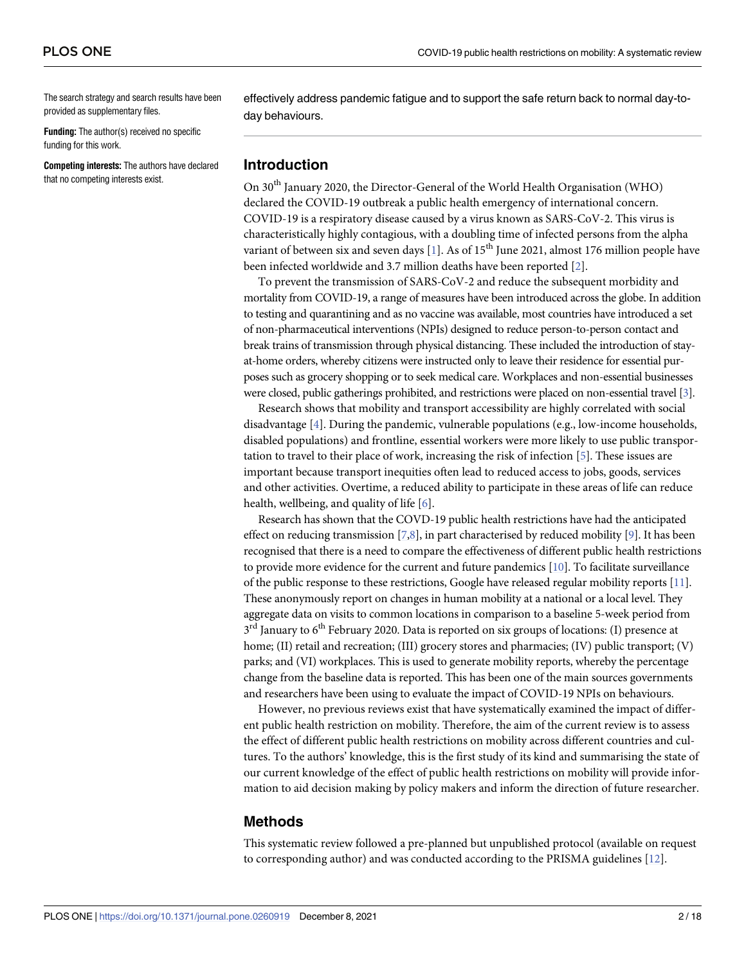<span id="page-1-0"></span>The search strategy and search results have been provided as supplementary files.

**Funding:** The author(s) received no specific funding for this work.

**Competing interests:** The authors have declared that no competing interests exist.

effectively address pandemic fatigue and to support the safe return back to normal day-today behaviours.

# **Introduction**

On 30th January 2020, the Director-General of the World Health Organisation (WHO) declared the COVID-19 outbreak a public health emergency of international concern. COVID-19 is a respiratory disease caused by a virus known as SARS-CoV-2. This virus is characteristically highly contagious, with a doubling time of infected persons from the alpha variant of between six and seven days [[1\]](#page-14-0). As of  $15<sup>th</sup>$  June 2021, almost 176 million people have been infected worldwide and 3.7 million deaths have been reported [\[2\]](#page-15-0).

To prevent the transmission of SARS-CoV-2 and reduce the subsequent morbidity and mortality from COVID-19, a range of measures have been introduced across the globe. In addition to testing and quarantining and as no vaccine was available, most countries have introduced a set of non-pharmaceutical interventions (NPIs) designed to reduce person-to-person contact and break trains of transmission through physical distancing. These included the introduction of stayat-home orders, whereby citizens were instructed only to leave their residence for essential purposes such as grocery shopping or to seek medical care. Workplaces and non-essential businesses were closed, public gatherings prohibited, and restrictions were placed on non-essential travel [[3](#page-15-0)].

Research shows that mobility and transport accessibility are highly correlated with social disadvantage [\[4](#page-15-0)]. During the pandemic, vulnerable populations (e.g., low-income households, disabled populations) and frontline, essential workers were more likely to use public transportation to travel to their place of work, increasing the risk of infection [\[5](#page-15-0)]. These issues are important because transport inequities often lead to reduced access to jobs, goods, services and other activities. Overtime, a reduced ability to participate in these areas of life can reduce health, wellbeing, and quality of life [\[6](#page-15-0)].

Research has shown that the COVD-19 public health restrictions have had the anticipated effect on reducing transmission [\[7,8\]](#page-15-0), in part characterised by reduced mobility [\[9\]](#page-15-0). It has been recognised that there is a need to compare the effectiveness of different public health restrictions to provide more evidence for the current and future pandemics [[10\]](#page-15-0). To facilitate surveillance of the public response to these restrictions, Google have released regular mobility reports [\[11](#page-15-0)]. These anonymously report on changes in human mobility at a national or a local level. They aggregate data on visits to common locations in comparison to a baseline 5-week period from  $3<sup>rd</sup>$  January to 6<sup>th</sup> February 2020. Data is reported on six groups of locations: (I) presence at home; (II) retail and recreation; (III) grocery stores and pharmacies; (IV) public transport; (V) parks; and (VI) workplaces. This is used to generate mobility reports, whereby the percentage change from the baseline data is reported. This has been one of the main sources governments and researchers have been using to evaluate the impact of COVID-19 NPIs on behaviours.

However, no previous reviews exist that have systematically examined the impact of different public health restriction on mobility. Therefore, the aim of the current review is to assess the effect of different public health restrictions on mobility across different countries and cultures. To the authors' knowledge, this is the first study of its kind and summarising the state of our current knowledge of the effect of public health restrictions on mobility will provide information to aid decision making by policy makers and inform the direction of future researcher.

#### **Methods**

This systematic review followed a pre-planned but unpublished protocol (available on request to corresponding author) and was conducted according to the PRISMA guidelines [[12](#page-15-0)].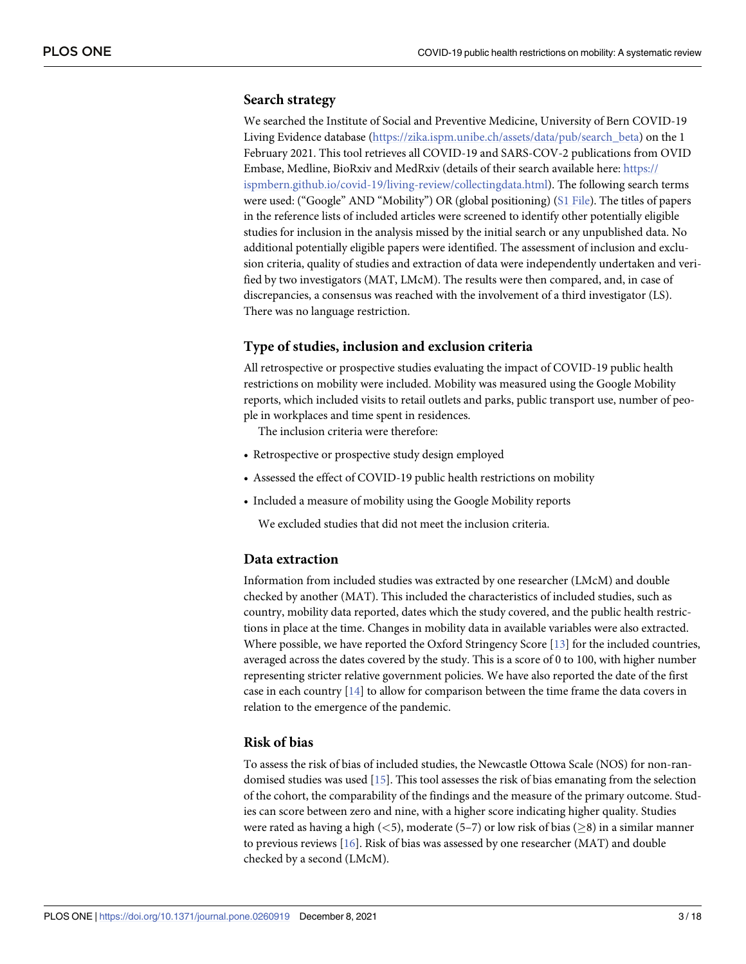### <span id="page-2-0"></span>**Search strategy**

We searched the Institute of Social and Preventive Medicine, University of Bern COVID-19 Living Evidence database ([https://zika.ispm.unibe.ch/assets/data/pub/search\\_beta\)](https://zika.ispm.unibe.ch/assets/data/pub/search_beta) on the 1 February 2021. This tool retrieves all COVID-19 and SARS-COV-2 publications from OVID Embase, Medline, BioRxiv and MedRxiv (details of their search available here: [https://](https://ispmbern.github.io/covid-19/living-review/collectingdata.html) [ispmbern.github.io/covid-19/living-review/collectingdata.html\)](https://ispmbern.github.io/covid-19/living-review/collectingdata.html). The following search terms were used: ("Google" AND "Mobility") OR (global positioning) (S1 [File](#page-14-0)). The titles of papers in the reference lists of included articles were screened to identify other potentially eligible studies for inclusion in the analysis missed by the initial search or any unpublished data. No additional potentially eligible papers were identified. The assessment of inclusion and exclusion criteria, quality of studies and extraction of data were independently undertaken and verified by two investigators (MAT, LMcM). The results were then compared, and, in case of discrepancies, a consensus was reached with the involvement of a third investigator (LS). There was no language restriction.

# **Type of studies, inclusion and exclusion criteria**

All retrospective or prospective studies evaluating the impact of COVID-19 public health restrictions on mobility were included. Mobility was measured using the Google Mobility reports, which included visits to retail outlets and parks, public transport use, number of people in workplaces and time spent in residences.

The inclusion criteria were therefore:

- Retrospective or prospective study design employed
- Assessed the effect of COVID-19 public health restrictions on mobility
- Included a measure of mobility using the Google Mobility reports

We excluded studies that did not meet the inclusion criteria.

#### **Data extraction**

Information from included studies was extracted by one researcher (LMcM) and double checked by another (MAT). This included the characteristics of included studies, such as country, mobility data reported, dates which the study covered, and the public health restrictions in place at the time. Changes in mobility data in available variables were also extracted. Where possible, we have reported the Oxford Stringency Score [[13](#page-15-0)] for the included countries, averaged across the dates covered by the study. This is a score of 0 to 100, with higher number representing stricter relative government policies. We have also reported the date of the first case in each country [\[14\]](#page-15-0) to allow for comparison between the time frame the data covers in relation to the emergence of the pandemic.

# **Risk of bias**

To assess the risk of bias of included studies, the Newcastle Ottowa Scale (NOS) for non-randomised studies was used [\[15\]](#page-15-0). This tool assesses the risk of bias emanating from the selection of the cohort, the comparability of the findings and the measure of the primary outcome. Studies can score between zero and nine, with a higher score indicating higher quality. Studies were rated as having a high (*<*5), moderate (5–7) or low risk of bias (�8) in a similar manner to previous reviews [\[16\]](#page-15-0). Risk of bias was assessed by one researcher (MAT) and double checked by a second (LMcM).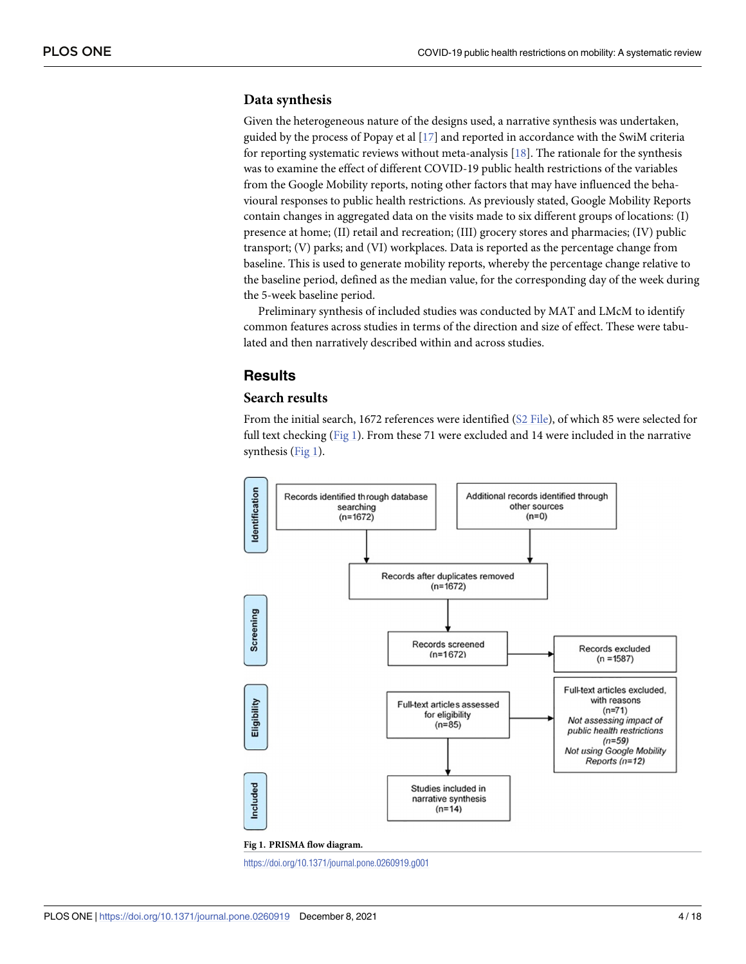#### <span id="page-3-0"></span>**Data synthesis**

Given the heterogeneous nature of the designs used, a narrative synthesis was undertaken, guided by the process of Popay et al [[17](#page-15-0)] and reported in accordance with the SwiM criteria for reporting systematic reviews without meta-analysis  $[18]$  $[18]$  $[18]$ . The rationale for the synthesis was to examine the effect of different COVID-19 public health restrictions of the variables from the Google Mobility reports, noting other factors that may have influenced the behavioural responses to public health restrictions. As previously stated, Google Mobility Reports contain changes in aggregated data on the visits made to six different groups of locations: (I) presence at home; (II) retail and recreation; (III) grocery stores and pharmacies; (IV) public transport; (V) parks; and (VI) workplaces. Data is reported as the percentage change from baseline. This is used to generate mobility reports, whereby the percentage change relative to the baseline period, defined as the median value, for the corresponding day of the week during the 5-week baseline period.

Preliminary synthesis of included studies was conducted by MAT and LMcM to identify common features across studies in terms of the direction and size of effect. These were tabulated and then narratively described within and across studies.

# **Results**

# **Search results**

From the initial search, 1672 references were identified (S2 [File](#page-14-0)), of which 85 were selected for full text checking (Fig 1). From these 71 were excluded and 14 were included in the narrative synthesis (Fig 1).



<https://doi.org/10.1371/journal.pone.0260919.g001>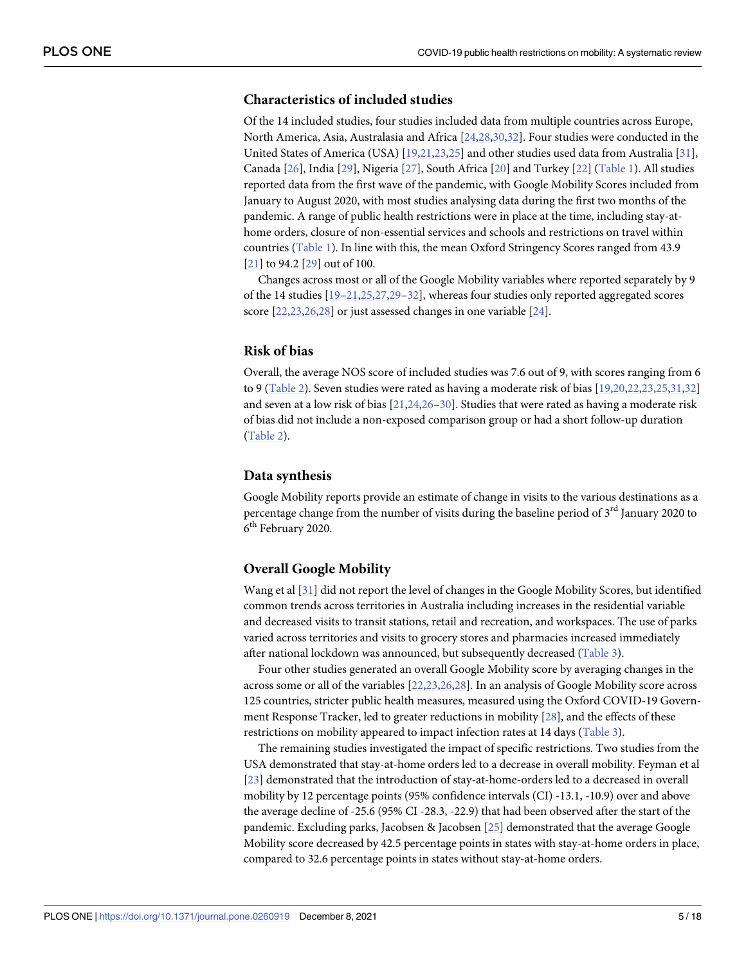# <span id="page-4-0"></span>**Characteristics of included studies**

Of the 14 included studies, four studies included data from multiple countries across Europe, North America, Asia, Australasia and Africa [\[24,28](#page-16-0),[30,32\]](#page-16-0). Four studies were conducted in the United States of America (USA) [\[19,21,23](#page-15-0),[25\]](#page-16-0) and other studies used data from Australia [[31](#page-16-0)], Canada [\[26\]](#page-16-0), India [\[29\]](#page-16-0), Nigeria [[27](#page-16-0)], South Africa [\[20\]](#page-15-0) and Turkey [[22](#page-15-0)] [\(Table](#page-5-0) 1). All studies reported data from the first wave of the pandemic, with Google Mobility Scores included from January to August 2020, with most studies analysing data during the first two months of the pandemic. A range of public health restrictions were in place at the time, including stay-athome orders, closure of non-essential services and schools and restrictions on travel within countries ([Table](#page-5-0) 1). In line with this, the mean Oxford Stringency Scores ranged from 43.9 [\[21\]](#page-15-0) to 94.2 [[29](#page-16-0)] out of 100.

Changes across most or all of the Google Mobility variables where reported separately by 9 of the 14 studies [[19–21](#page-15-0)[,25,27,29–32\]](#page-16-0), whereas four studies only reported aggregated scores score [\[22,23,](#page-15-0)[26](#page-16-0),[28](#page-16-0)] or just assessed changes in one variable [[24](#page-16-0)].

#### **Risk of bias**

Overall, the average NOS score of included studies was 7.6 out of 9, with scores ranging from 6 to 9 ([Table](#page-8-0) 2). Seven studies were rated as having a moderate risk of bias [[19,20,22,23](#page-15-0),[25,31,32\]](#page-16-0) and seven at a low risk of bias [[21](#page-15-0),[24,26–30\]](#page-16-0). Studies that were rated as having a moderate risk of bias did not include a non-exposed comparison group or had a short follow-up duration [\(Table](#page-8-0) 2).

#### **Data synthesis**

Google Mobility reports provide an estimate of change in visits to the various destinations as a percentage change from the number of visits during the baseline period of 3<sup>rd</sup> January 2020 to 6<sup>th</sup> February 2020.

#### **Overall Google Mobility**

Wang et al [\[31](#page-16-0)] did not report the level of changes in the Google Mobility Scores, but identified common trends across territories in Australia including increases in the residential variable and decreased visits to transit stations, retail and recreation, and workspaces. The use of parks varied across territories and visits to grocery stores and pharmacies increased immediately after national lockdown was announced, but subsequently decreased ([Table](#page-9-0) 3).

Four other studies generated an overall Google Mobility score by averaging changes in the across some or all of the variables [[22](#page-15-0),[23](#page-15-0)[,26,28\]](#page-16-0). In an analysis of Google Mobility score across 125 countries, stricter public health measures, measured using the Oxford COVID-19 Government Response Tracker, led to greater reductions in mobility [[28](#page-16-0)], and the effects of these restrictions on mobility appeared to impact infection rates at 14 days [\(Table](#page-9-0) 3).

The remaining studies investigated the impact of specific restrictions. Two studies from the USA demonstrated that stay-at-home orders led to a decrease in overall mobility. Feyman et al [\[23\]](#page-15-0) demonstrated that the introduction of stay-at-home-orders led to a decreased in overall mobility by 12 percentage points (95% confidence intervals (CI) -13.1, -10.9) over and above the average decline of -25.6 (95% CI -28.3, -22.9) that had been observed after the start of the pandemic. Excluding parks, Jacobsen & Jacobsen [[25](#page-16-0)] demonstrated that the average Google Mobility score decreased by 42.5 percentage points in states with stay-at-home orders in place, compared to 32.6 percentage points in states without stay-at-home orders.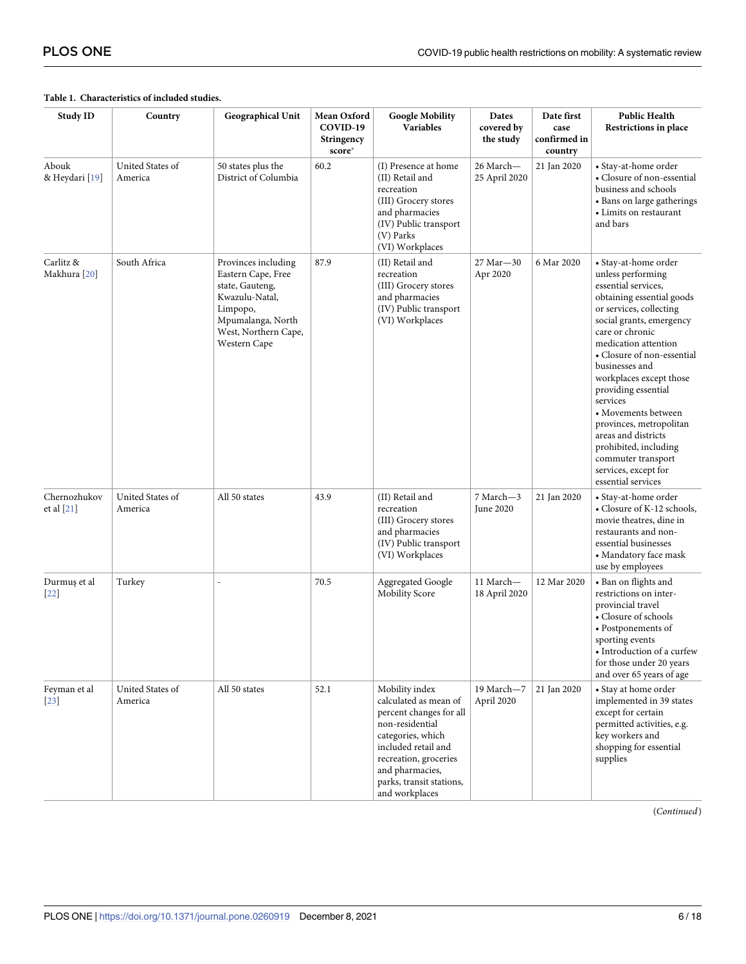| Study ID                   | Country                     | Geographical Unit                                                                                                                                       | Mean Oxford<br>COVID-19<br>Stringency<br>score* | <b>Google Mobility</b><br>Variables                                                                                                                                                                                         | Dates<br>covered by<br>the study | Date first<br>case<br>confirmed in<br>country | <b>Public Health</b><br>Restrictions in place                                                                                                                                                                                                                                                                                                                                                                                                                                       |
|----------------------------|-----------------------------|---------------------------------------------------------------------------------------------------------------------------------------------------------|-------------------------------------------------|-----------------------------------------------------------------------------------------------------------------------------------------------------------------------------------------------------------------------------|----------------------------------|-----------------------------------------------|-------------------------------------------------------------------------------------------------------------------------------------------------------------------------------------------------------------------------------------------------------------------------------------------------------------------------------------------------------------------------------------------------------------------------------------------------------------------------------------|
| Abouk<br>& Heydari [19]    | United States of<br>America | 50 states plus the<br>District of Columbia                                                                                                              | 60.2                                            | (I) Presence at home<br>(II) Retail and<br>recreation<br>(III) Grocery stores<br>and pharmacies<br>(IV) Public transport<br>(V) Parks<br>(VI) Workplaces                                                                    | 26 March-<br>25 April 2020       | 21 Jan 2020                                   | • Stay-at-home order<br>• Closure of non-essential<br>business and schools<br>• Bans on large gatherings<br>• Limits on restaurant<br>and bars                                                                                                                                                                                                                                                                                                                                      |
| Carlitz &<br>Makhura [20]  | South Africa                | Provinces including<br>Eastern Cape, Free<br>state, Gauteng,<br>Kwazulu-Natal,<br>Limpopo,<br>Mpumalanga, North<br>West, Northern Cape,<br>Western Cape | 87.9                                            | (II) Retail and<br>recreation<br>(III) Grocery stores<br>and pharmacies<br>(IV) Public transport<br>(VI) Workplaces                                                                                                         | 27 Mar - 30<br>Apr 2020          | 6 Mar 2020                                    | • Stay-at-home order<br>unless performing<br>essential services,<br>obtaining essential goods<br>or services, collecting<br>social grants, emergency<br>care or chronic<br>medication attention<br>• Closure of non-essential<br>businesses and<br>workplaces except those<br>providing essential<br>services<br>• Movements between<br>provinces, metropolitan<br>areas and districts<br>prohibited, including<br>commuter transport<br>services, except for<br>essential services |
| Chernozhukov<br>et al [21] | United States of<br>America | All 50 states                                                                                                                                           | 43.9                                            | (II) Retail and<br>recreation<br>(III) Grocery stores<br>and pharmacies<br>(IV) Public transport<br>(VI) Workplaces                                                                                                         | 7 March-3<br>June 2020           | 21 Jan 2020                                   | • Stay-at-home order<br>• Closure of K-12 schools,<br>movie theatres, dine in<br>restaurants and non-<br>essential businesses<br>• Mandatory face mask<br>use by employees                                                                                                                                                                                                                                                                                                          |
| Durmuş et al<br>$[22]$     | Turkey                      |                                                                                                                                                         | 70.5                                            | Aggregated Google<br>Mobility Score                                                                                                                                                                                         | 11 March-<br>18 April 2020       | 12 Mar 2020                                   | • Ban on flights and<br>restrictions on inter-<br>provincial travel<br>• Closure of schools<br>• Postponements of<br>sporting events<br>$\bullet$ Introduction of a curfew<br>for those under 20 years<br>and over 65 years of age                                                                                                                                                                                                                                                  |
| Feyman et al<br>$[23]$     | United States of<br>America | All 50 states                                                                                                                                           | 52.1                                            | Mobility index<br>calculated as mean of<br>percent changes for all<br>non-residential<br>categories, which<br>included retail and<br>recreation, groceries<br>and pharmacies,<br>parks, transit stations,<br>and workplaces | 19 March-7<br>April 2020         | 21 Jan 2020                                   | • Stay at home order<br>implemented in 39 states<br>except for certain<br>permitted activities, e.g.<br>key workers and<br>shopping for essential<br>supplies                                                                                                                                                                                                                                                                                                                       |

#### <span id="page-5-0"></span>**[Table](#page-4-0) 1. Characteristics of included studies.**

(*Continued*)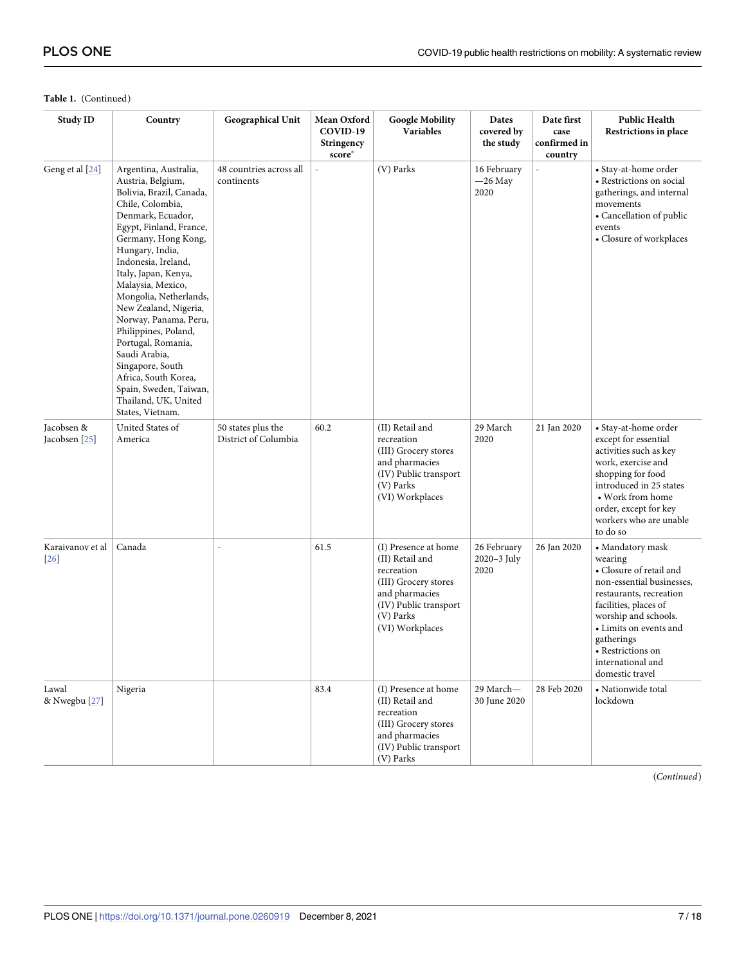| <b>Study ID</b>                   | Country                                                                                                                                                                                                                                                                                                                                                                                                                                                                                                               | Geographical Unit                          | Mean Oxford<br>COVID-19<br>Stringency<br>score* | <b>Google Mobility</b><br>Variables                                                                                                                      | Dates<br>covered by<br>the study   | Date first<br>case<br>confirmed in<br>country | <b>Public Health</b><br>Restrictions in place                                                                                                                                                                                                                        |
|-----------------------------------|-----------------------------------------------------------------------------------------------------------------------------------------------------------------------------------------------------------------------------------------------------------------------------------------------------------------------------------------------------------------------------------------------------------------------------------------------------------------------------------------------------------------------|--------------------------------------------|-------------------------------------------------|----------------------------------------------------------------------------------------------------------------------------------------------------------|------------------------------------|-----------------------------------------------|----------------------------------------------------------------------------------------------------------------------------------------------------------------------------------------------------------------------------------------------------------------------|
| Geng et al [24]                   | Argentina, Australia,<br>Austria, Belgium,<br>Bolivia, Brazil, Canada,<br>Chile, Colombia,<br>Denmark, Ecuador,<br>Egypt, Finland, France,<br>Germany, Hong Kong,<br>Hungary, India,<br>Indonesia, Ireland,<br>Italy, Japan, Kenya,<br>Malaysia, Mexico,<br>Mongolia, Netherlands,<br>New Zealand, Nigeria,<br>Norway, Panama, Peru,<br>Philippines, Poland,<br>Portugal, Romania,<br>Saudi Arabia,<br>Singapore, South<br>Africa, South Korea,<br>Spain, Sweden, Taiwan,<br>Thailand, UK, United<br>States, Vietnam. | 48 countries across all<br>continents      | $\overline{a}$                                  | (V) Parks                                                                                                                                                | 16 February<br>$-26$ May<br>2020   | $\overline{a}$                                | • Stay-at-home order<br>• Restrictions on social<br>gatherings, and internal<br>movements<br>• Cancellation of public<br>events<br>• Closure of workplaces                                                                                                           |
| Jacobsen &<br>Jacobsen [25]       | United States of<br>America                                                                                                                                                                                                                                                                                                                                                                                                                                                                                           | 50 states plus the<br>District of Columbia | 60.2                                            | (II) Retail and<br>recreation<br>(III) Grocery stores<br>and pharmacies<br>(IV) Public transport<br>(V) Parks<br>(VI) Workplaces                         | 29 March<br>2020                   | 21 Jan 2020                                   | • Stay-at-home order<br>except for essential<br>activities such as key<br>work, exercise and<br>shopping for food<br>introduced in 25 states<br>• Work from home<br>order, except for key<br>workers who are unable<br>to do so                                      |
| Karaivanov et al<br>26            | Canada                                                                                                                                                                                                                                                                                                                                                                                                                                                                                                                |                                            | 61.5                                            | (I) Presence at home<br>(II) Retail and<br>recreation<br>(III) Grocery stores<br>and pharmacies<br>(IV) Public transport<br>(V) Parks<br>(VI) Workplaces | 26 February<br>2020-3 July<br>2020 | 26 Jan 2020                                   | • Mandatory mask<br>wearing<br>• Closure of retail and<br>non-essential businesses,<br>restaurants, recreation<br>facilities, places of<br>worship and schools.<br>• Limits on events and<br>gatherings<br>• Restrictions on<br>international and<br>domestic travel |
| Lawal<br>& Nwegbu <sup>[27]</sup> | Nigeria                                                                                                                                                                                                                                                                                                                                                                                                                                                                                                               |                                            | 83.4                                            | (I) Presence at home<br>(II) Retail and<br>recreation<br>(III) Grocery stores<br>and pharmacies<br>(IV) Public transport<br>(V) Parks                    | 29 March-<br>30 June 2020          | 28 Feb 2020                                   | • Nationwide total<br>lockdown                                                                                                                                                                                                                                       |

#### **Table 1.** (Continued)

(*Continued*)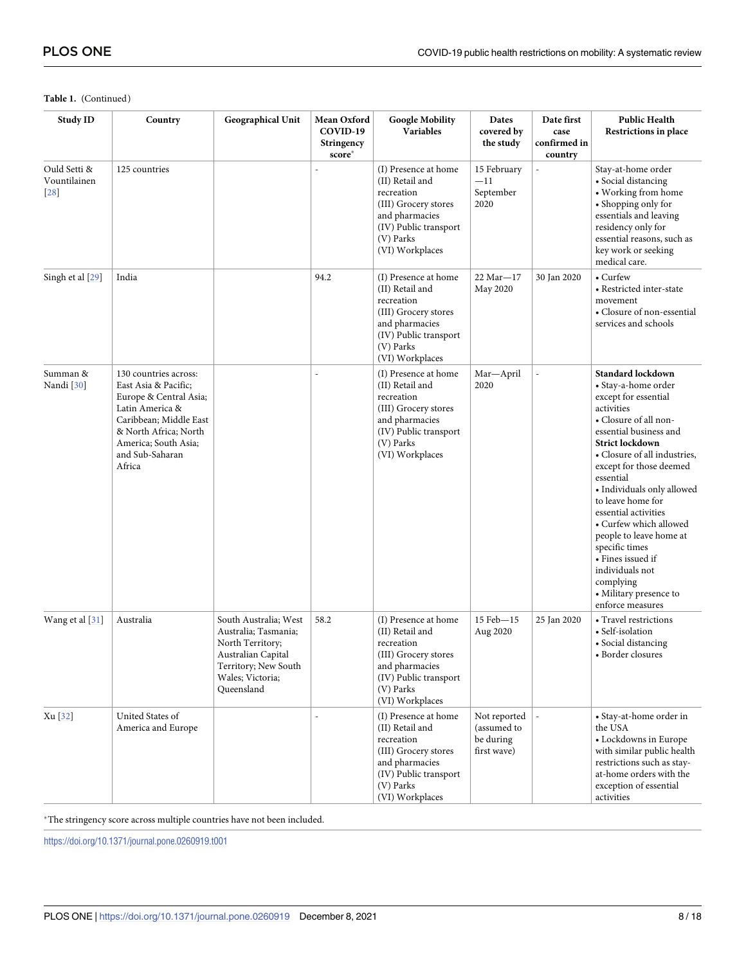| <b>Study ID</b>                    | Country                                                                                                                                                                                            | Geographical Unit                                                                                                                                 | Mean Oxford<br>COVID-19<br><b>Stringency</b><br>score* | <b>Google Mobility</b><br>Variables                                                                                                                      | Dates<br>covered by<br>the study                        | Date first<br>case<br>confirmed in<br>country | <b>Public Health</b><br>Restrictions in place                                                                                                                                                                                                                                                                                                                                                                                                                                            |
|------------------------------------|----------------------------------------------------------------------------------------------------------------------------------------------------------------------------------------------------|---------------------------------------------------------------------------------------------------------------------------------------------------|--------------------------------------------------------|----------------------------------------------------------------------------------------------------------------------------------------------------------|---------------------------------------------------------|-----------------------------------------------|------------------------------------------------------------------------------------------------------------------------------------------------------------------------------------------------------------------------------------------------------------------------------------------------------------------------------------------------------------------------------------------------------------------------------------------------------------------------------------------|
| Ould Setti &<br>Vountilainen<br>28 | 125 countries                                                                                                                                                                                      |                                                                                                                                                   |                                                        | (I) Presence at home<br>(II) Retail and<br>recreation<br>(III) Grocery stores<br>and pharmacies<br>(IV) Public transport<br>(V) Parks<br>(VI) Workplaces | 15 February<br>$-11$<br>September<br>2020               |                                               | Stay-at-home order<br>• Social distancing<br>• Working from home<br>• Shopping only for<br>essentials and leaving<br>residency only for<br>essential reasons, such as<br>key work or seeking<br>medical care.                                                                                                                                                                                                                                                                            |
| Singh et al [29]                   | India                                                                                                                                                                                              |                                                                                                                                                   | 94.2                                                   | (I) Presence at home<br>(II) Retail and<br>recreation<br>(III) Grocery stores<br>and pharmacies<br>(IV) Public transport<br>(V) Parks<br>(VI) Workplaces | $22$ Mar $-17$<br>May 2020                              | 30 Jan 2020                                   | • Curfew<br>• Restricted inter-state<br>movement<br>• Closure of non-essential<br>services and schools                                                                                                                                                                                                                                                                                                                                                                                   |
| Summan &<br>Nandi <sup>[30]</sup>  | 130 countries across:<br>East Asia & Pacific:<br>Europe & Central Asia;<br>Latin America &<br>Caribbean; Middle East<br>& North Africa; North<br>America; South Asia;<br>and Sub-Saharan<br>Africa |                                                                                                                                                   |                                                        | (I) Presence at home<br>(II) Retail and<br>recreation<br>(III) Grocery stores<br>and pharmacies<br>(IV) Public transport<br>(V) Parks<br>(VI) Workplaces | Mar-April<br>2020                                       |                                               | <b>Standard lockdown</b><br>• Stay-a-home order<br>except for essential<br>activities<br>• Closure of all non-<br>essential business and<br>Strict lockdown<br>• Closure of all industries,<br>except for those deemed<br>essential<br>• Individuals only allowed<br>to leave home for<br>essential activities<br>• Curfew which allowed<br>people to leave home at<br>specific times<br>• Fines issued if<br>individuals not<br>complying<br>• Military presence to<br>enforce measures |
| Wang et al [31]                    | Australia                                                                                                                                                                                          | South Australia; West<br>Australia; Tasmania;<br>North Territory;<br>Australian Capital<br>Territory; New South<br>Wales; Victoria;<br>Queensland | 58.2                                                   | (I) Presence at home<br>(II) Retail and<br>recreation<br>(III) Grocery stores<br>and pharmacies<br>(IV) Public transport<br>(V) Parks<br>(VI) Workplaces | 15 Feb-15<br>Aug 2020                                   | 25 Jan 2020                                   | • Travel restrictions<br>• Self-isolation<br>• Social distancing<br>• Border closures                                                                                                                                                                                                                                                                                                                                                                                                    |
| Xu [32]                            | United States of<br>America and Europe                                                                                                                                                             |                                                                                                                                                   |                                                        | (I) Presence at home<br>(II) Retail and<br>recreation<br>(III) Grocery stores<br>and pharmacies<br>(IV) Public transport<br>(V) Parks<br>(VI) Workplaces | Not reported<br>(assumed to<br>be during<br>first wave) |                                               | • Stay-at-home order in<br>the USA<br>• Lockdowns in Europe<br>with similar public health<br>restrictions such as stay-<br>at-home orders with the<br>exception of essential<br>activities                                                                                                                                                                                                                                                                                               |

#### **Table 1.** (Continued)

 $^\ast$  The stringency score across multiple countries have not been included.

<https://doi.org/10.1371/journal.pone.0260919.t001>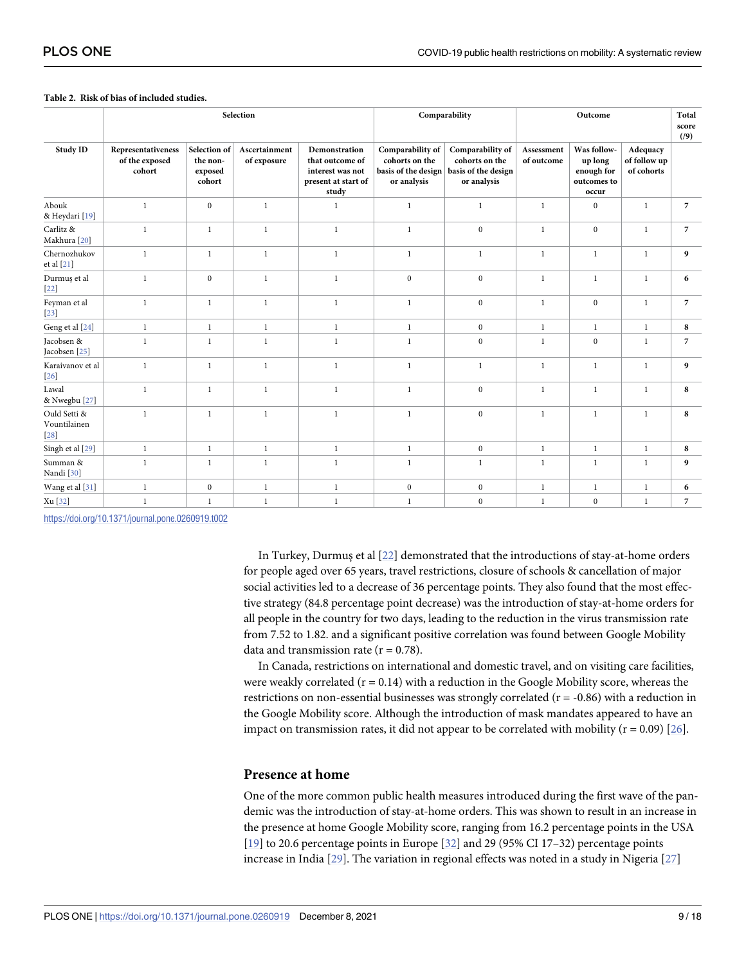|                                        |                                                |                                               | Selection                    |                                                                                      |                                                                          | Comparability                                                            | Outcome                  |                                                              |                                        | Total<br>score<br>(9) |
|----------------------------------------|------------------------------------------------|-----------------------------------------------|------------------------------|--------------------------------------------------------------------------------------|--------------------------------------------------------------------------|--------------------------------------------------------------------------|--------------------------|--------------------------------------------------------------|----------------------------------------|-----------------------|
| <b>Study ID</b>                        | Representativeness<br>of the exposed<br>cohort | Selection of<br>the non-<br>exposed<br>cohort | Ascertainment<br>of exposure | Demonstration<br>that outcome of<br>interest was not<br>present at start of<br>study | Comparability of<br>cohorts on the<br>basis of the design<br>or analysis | Comparability of<br>cohorts on the<br>basis of the design<br>or analysis | Assessment<br>of outcome | Was follow-<br>up long<br>enough for<br>outcomes to<br>occur | Adequacy<br>of follow up<br>of cohorts |                       |
| Abouk<br>& Heydari [19]                | $\mathbf{1}$                                   | $\mathbf{0}$                                  | $\mathbf{1}$                 | $\mathbf{1}$                                                                         | $\mathbf{1}$                                                             | $\mathbf{1}$                                                             | $\mathbf{1}$             | $\mathbf{0}$                                                 | $\mathbf{1}$                           | $\overline{7}$        |
| Carlitz &<br>Makhura [20]              | $\mathbf{1}$                                   | $\mathbf{1}$                                  | $\mathbf{1}$                 | $\mathbf{1}$                                                                         | 1                                                                        | $\mathbf{0}$                                                             | $\mathbf{1}$             | $\mathbf{0}$                                                 | $\mathbf{1}$                           | $\overline{7}$        |
| Chernozhukov<br>et al [21]             | $\mathbf{1}$                                   | $\mathbf{1}$                                  | $\mathbf{1}$                 | $\mathbf{1}$                                                                         | $\mathbf{1}$                                                             | $\mathbf{1}$                                                             | $\mathbf{1}$             | $\mathbf{1}$                                                 | $\mathbf{1}$                           | 9                     |
| Durmuş et al<br>$[22]$                 | $\mathbf{1}$                                   | $\bf{0}$                                      | $\mathbf{1}$                 | $\mathbf{1}$                                                                         | $\boldsymbol{0}$                                                         | $\boldsymbol{0}$                                                         | $\mathbf{1}$             | $\mathbf{1}$                                                 | $\mathbf{1}$                           | 6                     |
| Feyman et al<br>$[23]$                 | $\mathbf{1}$                                   | $\mathbf{1}$                                  | $\mathbf{1}$                 | $\mathbf{1}$                                                                         | $\mathbf{1}$                                                             | $\mathbf{0}$                                                             | $\mathbf{1}$             | $\mathbf{0}$                                                 | $\mathbf{1}$                           | $\overline{7}$        |
| Geng et al [24]                        | $\mathbf{1}$                                   | $\,1\,$                                       | $\,1$                        | $\,1$                                                                                | $\mathbf{1}$                                                             | $\bf{0}$                                                                 | $\mathbf{1}$             | $\mathbf{1}$                                                 | $\mathbf{1}$                           | 8                     |
| Jacobsen &<br>Jacobsen [25]            | $\mathbf{1}$                                   | <sup>1</sup>                                  | $\mathbf{1}$                 | $\mathbf{1}$                                                                         | 1                                                                        | $\mathbf{0}$                                                             | $\mathbf{1}$             | $\mathbf{0}$                                                 | $\mathbf{1}$                           | $\overline{7}$        |
| Karaivanov et al<br>$[26]$             | $\mathbf{1}$                                   | $\mathbf{1}$                                  | $\mathbf{1}$                 | $\mathbf{1}$                                                                         | $\mathbf{1}$                                                             | $\mathbf{1}$                                                             | $\mathbf{1}$             | $\mathbf{1}$                                                 | $\mathbf{1}$                           | 9                     |
| Lawal<br>& Nwegbu <sup>[27]</sup>      | $\mathbf{1}$                                   | $\mathbf{1}$                                  | $\mathbf{1}$                 | $\mathbf{1}$                                                                         | $\mathbf{1}$                                                             | $\mathbf{0}$                                                             | $\mathbf{1}$             | $\mathbf{1}$                                                 | $\mathbf{1}$                           | 8                     |
| Ould Setti &<br>Vountilainen<br>$[28]$ | $\mathbf{1}$                                   | $\mathbf{1}$                                  | $\mathbf{1}$                 | $\mathbf{1}$                                                                         | $\mathbf{1}$                                                             | $\mathbf{0}$                                                             | $\mathbf{1}$             | $\mathbf{1}$                                                 | $\mathbf{1}$                           | 8                     |
| Singh et al [29]                       | $\mathbf{1}$                                   | $\mathbf{1}$                                  | $\mathbf{1}$                 | $\mathbf{1}$                                                                         | $\mathbf{1}$                                                             | $\bf{0}$                                                                 | $\mathbf{1}$             | $\mathbf{1}$                                                 | $\mathbf{1}$                           | 8                     |
| Summan &<br>Nandi <sup>[30]</sup>      | $\mathbf{1}$                                   | $\mathbf{1}$                                  | $\mathbf{1}$                 | $\mathbf{1}$                                                                         | $\mathbf{1}$                                                             | $\mathbf{1}$                                                             | $\mathbf{1}$             | $\mathbf{1}$                                                 | $\mathbf{1}$                           | 9                     |
| Wang et al [31]                        | $\mathbf{1}$                                   | $\boldsymbol{0}$                              | $\mathbf{1}$                 | $\mathbf{1}$                                                                         | $\bf{0}$                                                                 | $\bf{0}$                                                                 | $\mathbf{1}$             | $\mathbf{1}$                                                 | $\mathbf{1}$                           | 6                     |
| Xu [32]                                | $\mathbf{1}$                                   | $\mathbf{1}$                                  | $\mathbf{1}$                 | $\mathbf{1}$                                                                         | $\mathbf{1}$                                                             | $\boldsymbol{0}$                                                         | $\mathbf{1}$             | $\boldsymbol{0}$                                             | $\mathbf{1}$                           | $\overline{7}$        |

#### <span id="page-8-0"></span>**[Table](#page-4-0) 2. Risk of bias of included studies.**

<https://doi.org/10.1371/journal.pone.0260919.t002>

In Turkey, Durmuş et al [[22](#page-15-0)] demonstrated that the introductions of stay-at-home orders for people aged over 65 years, travel restrictions, closure of schools & cancellation of major social activities led to a decrease of 36 percentage points. They also found that the most effective strategy (84.8 percentage point decrease) was the introduction of stay-at-home orders for all people in the country for two days, leading to the reduction in the virus transmission rate from 7.52 to 1.82. and a significant positive correlation was found between Google Mobility data and transmission rate  $(r = 0.78)$ .

In Canada, restrictions on international and domestic travel, and on visiting care facilities, were weakly correlated  $(r = 0.14)$  with a reduction in the Google Mobility score, whereas the restrictions on non-essential businesses was strongly correlated ( $r = -0.86$ ) with a reduction in the Google Mobility score. Although the introduction of mask mandates appeared to have an impact on transmission rates, it did not appear to be correlated with mobility  $(r = 0.09)$  [[26](#page-16-0)].

#### **Presence at home**

One of the more common public health measures introduced during the first wave of the pandemic was the introduction of stay-at-home orders. This was shown to result in an increase in the presence at home Google Mobility score, ranging from 16.2 percentage points in the USA [\[19\]](#page-15-0) to 20.6 percentage points in Europe [\[32\]](#page-16-0) and 29 (95% CI 17–32) percentage points increase in India [[29](#page-16-0)]. The variation in regional effects was noted in a study in Nigeria [\[27\]](#page-16-0)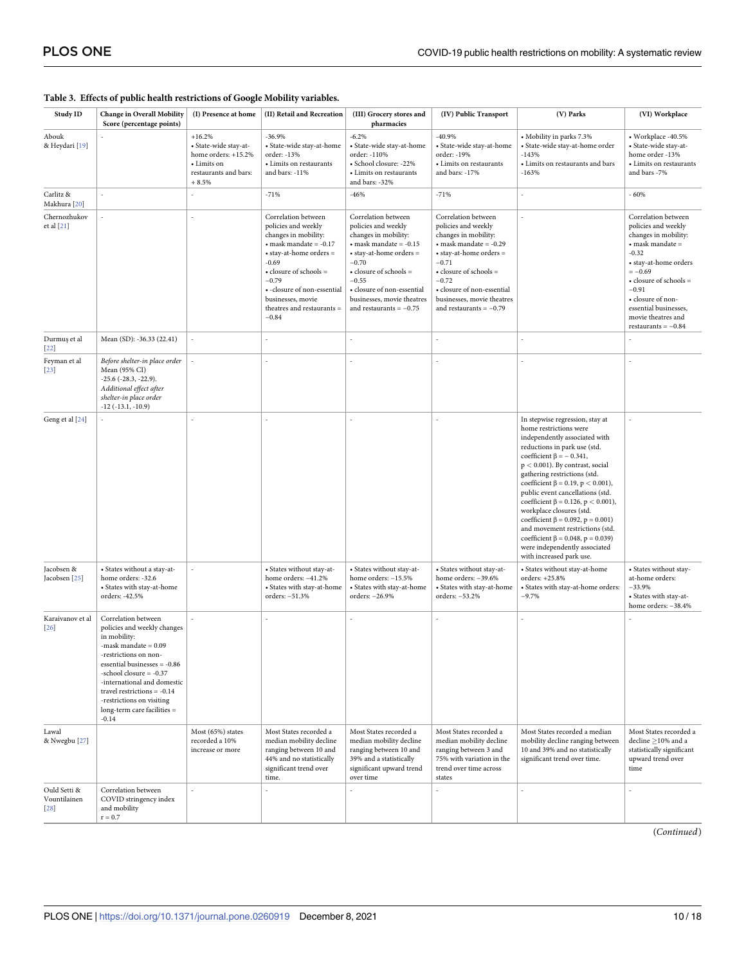#### <span id="page-9-0"></span>**[Table](#page-4-0) 3. Effects of public health restrictions of Google Mobility variables.**

| Study ID                               | <b>Change in Overall Mobility</b><br>Score (percentage points)                                                                                                                                                                                                                                                            | (I) Presence at home                                                                                        | (II) Retail and Recreation                                                                                                                                                                                                                                                   | (III) Grocery stores and<br>pharmacies                                                                                                                                                                                                                                                     | (IV) Public Transport                                                                                                                                                                                                                                                                      | (V) Parks                                                                                                                                                                                                                                                                                                                                                                                                                                                                                                                                                                   | (VI) Workplace                                                                                                                                                                                                                                                                           |
|----------------------------------------|---------------------------------------------------------------------------------------------------------------------------------------------------------------------------------------------------------------------------------------------------------------------------------------------------------------------------|-------------------------------------------------------------------------------------------------------------|------------------------------------------------------------------------------------------------------------------------------------------------------------------------------------------------------------------------------------------------------------------------------|--------------------------------------------------------------------------------------------------------------------------------------------------------------------------------------------------------------------------------------------------------------------------------------------|--------------------------------------------------------------------------------------------------------------------------------------------------------------------------------------------------------------------------------------------------------------------------------------------|-----------------------------------------------------------------------------------------------------------------------------------------------------------------------------------------------------------------------------------------------------------------------------------------------------------------------------------------------------------------------------------------------------------------------------------------------------------------------------------------------------------------------------------------------------------------------------|------------------------------------------------------------------------------------------------------------------------------------------------------------------------------------------------------------------------------------------------------------------------------------------|
| Abouk<br>& Heydari [19]                |                                                                                                                                                                                                                                                                                                                           | $+16.2%$<br>· State-wide stay-at-<br>home orders: +15.2%<br>• Limits on<br>restaurants and bars:<br>$+8.5%$ | $-36.9%$<br>· State-wide stay-at-home<br>order: -13%<br>• Limits on restaurants<br>and bars: -11%                                                                                                                                                                            | $-6.2%$<br>• State-wide stay-at-home<br>order: -110%<br>• School closure: -22%<br>• Limits on restaurants<br>and bars: -32%                                                                                                                                                                | $-40.9%$<br>· State-wide stay-at-home<br>order: -19%<br>• Limits on restaurants<br>and bars: -17%                                                                                                                                                                                          | • Mobility in parks 7.3%<br>· State-wide stay-at-home order<br>$-143%$<br>• Limits on restaurants and bars<br>$-163%$                                                                                                                                                                                                                                                                                                                                                                                                                                                       | • Workplace -40.5%<br>· State-wide stay-at-<br>home order -13%<br>• Limits on restaurants<br>and bars -7%                                                                                                                                                                                |
| Carlitz &<br>Makhura [20]              |                                                                                                                                                                                                                                                                                                                           |                                                                                                             | $-71%$                                                                                                                                                                                                                                                                       | $-46%$                                                                                                                                                                                                                                                                                     | $-71%$                                                                                                                                                                                                                                                                                     |                                                                                                                                                                                                                                                                                                                                                                                                                                                                                                                                                                             | $-60%$                                                                                                                                                                                                                                                                                   |
| Chernozhukov<br>et al [21]             |                                                                                                                                                                                                                                                                                                                           |                                                                                                             | Correlation between<br>policies and weekly<br>changes in mobility:<br>$\bullet$ mask mandate = -0.17<br>• stay-at-home orders =<br>$-0.69$<br>• closure of schools =<br>$-0.79$<br>· -closure of non-essential<br>businesses, movie<br>theatres and restaurants =<br>$-0.84$ | Correlation between<br>policies and weekly<br>changes in mobility:<br>$\bullet$ mask mandate = -0.15<br>$\bullet$ stay-at-home orders $=$<br>$-0.70$<br>$\bullet$ closure of schools =<br>$-0.55$<br>· closure of non-essential<br>businesses, movie theatres<br>and restaurants $= -0.75$ | Correlation between<br>policies and weekly<br>changes in mobility:<br>$\bullet$ mask mandate = -0.29<br>$\bullet$ stay-at-home orders $=$<br>$-0.71$<br>$\bullet$ closure of schools =<br>$-0.72$<br>· closure of non-essential<br>businesses, movie theatres<br>and restaurants $= -0.79$ |                                                                                                                                                                                                                                                                                                                                                                                                                                                                                                                                                                             | Correlation between<br>policies and weekly<br>changes in mobility:<br>$\bullet$ mask mandate =<br>$-0.32$<br>• stay-at-home orders<br>$=-0.69$<br>$\bullet$ closure of schools =<br>$-0.91$<br>• closure of non-<br>essential businesses,<br>movie theatres and<br>restaurants = $-0.84$ |
| Durmuş et al<br>$[22]$                 | Mean (SD): -36.33 (22.41)                                                                                                                                                                                                                                                                                                 |                                                                                                             |                                                                                                                                                                                                                                                                              |                                                                                                                                                                                                                                                                                            | ÷.                                                                                                                                                                                                                                                                                         |                                                                                                                                                                                                                                                                                                                                                                                                                                                                                                                                                                             |                                                                                                                                                                                                                                                                                          |
| Feyman et al<br>$[23]$                 | Before shelter-in place order<br>Mean (95% CI)<br>$-25.6$ ( $-28.3$ , $-22.9$ ).<br>Additional effect after<br>shelter-in place order<br>$-12$ ( $-13.1, -10.9$ )                                                                                                                                                         |                                                                                                             |                                                                                                                                                                                                                                                                              |                                                                                                                                                                                                                                                                                            |                                                                                                                                                                                                                                                                                            |                                                                                                                                                                                                                                                                                                                                                                                                                                                                                                                                                                             |                                                                                                                                                                                                                                                                                          |
| Geng et al [24]                        |                                                                                                                                                                                                                                                                                                                           |                                                                                                             |                                                                                                                                                                                                                                                                              |                                                                                                                                                                                                                                                                                            |                                                                                                                                                                                                                                                                                            | In stepwise regression, stay at<br>home restrictions were<br>independently associated with<br>reductions in park use (std.<br>coefficient $\beta = -0.341$ ,<br>$p < 0.001$ ). By contrast, social<br>gathering restrictions (std.<br>coefficient β = 0.19, p < 0.001),<br>public event cancellations (std.<br>coefficient $\beta = 0.126$ , $p < 0.001$ ),<br>workplace closures (std.<br>coefficient $\beta = 0.092$ , $p = 0.001$ )<br>and movement restrictions (std.<br>coefficient β = 0.048, p = 0.039)<br>were independently associated<br>with increased park use. |                                                                                                                                                                                                                                                                                          |
| Jacobsen &<br>Jacobsen [25]            | • States without a stay-at-<br>home orders: -32.6<br>• States with stay-at-home<br>orders: -42.5%                                                                                                                                                                                                                         |                                                                                                             | • States without stay-at-<br>home orders: -41.2%<br>• States with stay-at-home<br>orders: -51.3%                                                                                                                                                                             | • States without stay-at-<br>home orders: -15.5%<br>• States with stay-at-home<br>orders: -26.9%                                                                                                                                                                                           | • States without stay-at-<br>home orders: -39.6%<br>• States with stay-at-home<br>orders: -53.2%                                                                                                                                                                                           | • States without stay-at-home<br>orders: +25.8%<br>• States with stay-at-home orders:<br>$-9.7%$                                                                                                                                                                                                                                                                                                                                                                                                                                                                            | • States without stay-<br>at-home orders:<br>$-33.9%$<br>• States with stay-at-<br>home orders: -38.4%                                                                                                                                                                                   |
| Karaivanov et al<br>$[26]$             | Correlation between<br>policies and weekly changes<br>in mobility:<br>-mask mandate $= 0.09$<br>-restrictions on non-<br>essential businesses = -0.86<br>-school closure $= -0.37$<br>-international and domestic<br>travel restrictions = $-0.14$<br>-restrictions on visiting<br>long-term care facilities =<br>$-0.14$ |                                                                                                             |                                                                                                                                                                                                                                                                              |                                                                                                                                                                                                                                                                                            |                                                                                                                                                                                                                                                                                            |                                                                                                                                                                                                                                                                                                                                                                                                                                                                                                                                                                             |                                                                                                                                                                                                                                                                                          |
| Lawal<br>& Nwegbu [27]                 |                                                                                                                                                                                                                                                                                                                           | Most (65%) states<br>recorded a 10%<br>increase or more                                                     | Most States recorded a<br>median mobility decline<br>ranging between 10 and<br>44% and no statistically<br>significant trend over<br>time.                                                                                                                                   | Most States recorded a<br>median mobility decline<br>ranging between 10 and<br>39% and a statistically<br>significant upward trend<br>over time                                                                                                                                            | Most States recorded a<br>median mobility decline<br>ranging between 3 and<br>75% with variation in the<br>trend over time across<br>states                                                                                                                                                | Most States recorded a median<br>mobility decline ranging between<br>10 and 39% and no statistically<br>significant trend over time.                                                                                                                                                                                                                                                                                                                                                                                                                                        | Most States recorded a<br>decline $\geq$ 10% and a<br>statistically significant<br>upward trend over<br>time                                                                                                                                                                             |
| Ould Setti &<br>Vountilainen<br>$[28]$ | Correlation between<br>COVID stringency index<br>and mobility<br>$r = 0.7$                                                                                                                                                                                                                                                |                                                                                                             |                                                                                                                                                                                                                                                                              |                                                                                                                                                                                                                                                                                            |                                                                                                                                                                                                                                                                                            |                                                                                                                                                                                                                                                                                                                                                                                                                                                                                                                                                                             |                                                                                                                                                                                                                                                                                          |

(*Continued*)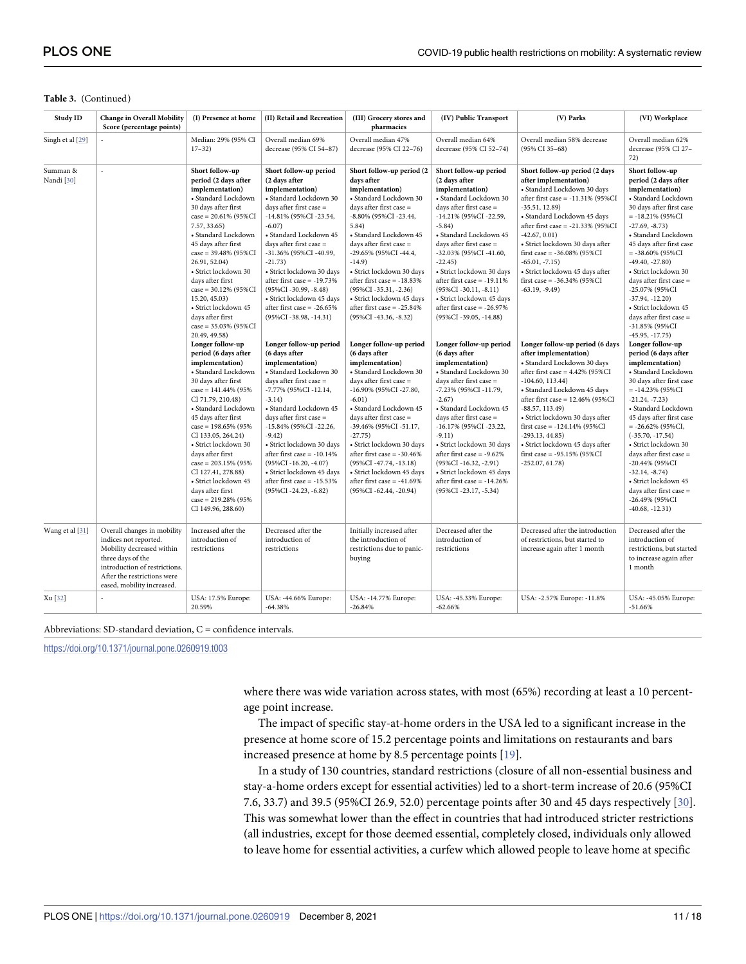#### **Table 3.** (Continued)

| Study ID               | <b>Change in Overall Mobility</b><br>Score (percentage points)                                                                                                                                       | (I) Presence at home                                                                                                                                                                                                                                                                                                                                                                                                                               | (II) Retail and Recreation                                                                                                                                                                                                                                                                                                                                                                                                         | (III) Grocery stores and<br>pharmacies                                                                                                                                                                                                                                                                                                                                                                                                  | (IV) Public Transport                                                                                                                                                                                                                                                                                                                                                                                                                  | (V) Parks                                                                                                                                                                                                                                                                                                                                                                                                                     | (VI) Workplace                                                                                                                                                                                                                                                                                                                                                                                                                               |
|------------------------|------------------------------------------------------------------------------------------------------------------------------------------------------------------------------------------------------|----------------------------------------------------------------------------------------------------------------------------------------------------------------------------------------------------------------------------------------------------------------------------------------------------------------------------------------------------------------------------------------------------------------------------------------------------|------------------------------------------------------------------------------------------------------------------------------------------------------------------------------------------------------------------------------------------------------------------------------------------------------------------------------------------------------------------------------------------------------------------------------------|-----------------------------------------------------------------------------------------------------------------------------------------------------------------------------------------------------------------------------------------------------------------------------------------------------------------------------------------------------------------------------------------------------------------------------------------|----------------------------------------------------------------------------------------------------------------------------------------------------------------------------------------------------------------------------------------------------------------------------------------------------------------------------------------------------------------------------------------------------------------------------------------|-------------------------------------------------------------------------------------------------------------------------------------------------------------------------------------------------------------------------------------------------------------------------------------------------------------------------------------------------------------------------------------------------------------------------------|----------------------------------------------------------------------------------------------------------------------------------------------------------------------------------------------------------------------------------------------------------------------------------------------------------------------------------------------------------------------------------------------------------------------------------------------|
| Singh et al [29]       |                                                                                                                                                                                                      | Median: 29% (95% CI<br>$17 - 32$                                                                                                                                                                                                                                                                                                                                                                                                                   | Overall median 69%<br>decrease (95% CI 54-87)                                                                                                                                                                                                                                                                                                                                                                                      | Overall median 47%<br>decrease (95% CI 22-76)                                                                                                                                                                                                                                                                                                                                                                                           | Overall median 64%<br>decrease (95% CI 52-74)                                                                                                                                                                                                                                                                                                                                                                                          | Overall median 58% decrease<br>(95% CI 35-68)                                                                                                                                                                                                                                                                                                                                                                                 | Overall median 62%<br>decrease (95% CI 27-<br>72)                                                                                                                                                                                                                                                                                                                                                                                            |
| Summan &<br>Nandi [30] |                                                                                                                                                                                                      | Short follow-up<br>period (2 days after<br>implementation)<br>• Standard Lockdown<br>30 days after first<br>case = $20.61\%$ (95%CI<br>7.57, 33.65<br>• Standard Lockdown<br>45 days after first<br>$case = 39.48\% (95\%CI$<br>26.91, 52.04)<br>· Strict lockdown 30<br>days after first<br>$case = 30.12\% (95\%CI)$<br>15.20, 45.03)<br>• Strict lockdown 45<br>days after first<br>$case = 35.03\%$ (95%CI<br>20.49, 49.58)                    | Short follow-up period<br>(2 days after<br>implementation)<br>· Standard Lockdown 30<br>days after first case =<br>-14.81% (95%CI-23.54,<br>$-6.07$ )<br>· Standard Lockdown 45<br>days after first case =<br>-31.36% (95%CI-40.99,<br>$-21.73)$<br>· Strict lockdown 30 days<br>after first case $= -19.73\%$<br>$(95\%CI - 30.99, -8.48)$<br>· Strict lockdown 45 days<br>after first case $= -26.65\%$<br>(95%CI-38.98, -14.31) | Short follow-up period (2<br>days after<br>implementation)<br>· Standard Lockdown 30<br>days after first case =<br>-8.80% (95%CI-23.44,<br>5.84)<br>· Standard Lockdown 45<br>days after first case =<br>-29.65% (95%CI-44.4,<br>$-14.9$<br>· Strict lockdown 30 days<br>after first case $= -18.83\%$<br>$(95\%CI - 35.31, -2.36)$<br>· Strict lockdown 45 days<br>after first case $= -25.84\%$<br>$(95\%CI - 43.36, -8.32)$          | Short follow-up period<br>(2 days after<br>implementation)<br>• Standard Lockdown 30<br>days after first case =<br>-14.21% (95%CI-22.59,<br>$-5.84)$<br>· Standard Lockdown 45<br>days after first case =<br>-32.03% (95%CI-41.60,<br>$-22.45)$<br>· Strict lockdown 30 days<br>after first case $= -19.11\%$<br>$(95\%CI - 30.11, -8.11)$<br>· Strict lockdown 45 days<br>after first case $= -26.97\%$<br>$(95\%CI - 39.05, -14.88)$ | Short follow-up period (2 days<br>after implementation)<br>· Standard Lockdown 30 days<br>after first case = $-11.31\%$ (95%CI<br>$-35.51, 12.89$<br>· Standard Lockdown 45 days<br>after first case = $-21.33\%$ (95%CI<br>$-42.67, 0.01$<br>· Strict lockdown 30 days after<br>first case = $-36.08\%$ (95%CI<br>$-65.01, -7.15$ )<br>· Strict lockdown 45 days after<br>first case = $-36.34\%$ (95%CI<br>$-63.19, -9.49$  | Short follow-up<br>period (2 days after<br>implementation)<br>• Standard Lockdown<br>30 days after first case<br>$= -18.21\%$ (95%CI<br>$-27.69, -8.73)$<br>• Standard Lockdown<br>45 days after first case<br>$= -38.60\%$ (95%CI<br>$-49.40, -27.80$<br>· Strict lockdown 30<br>days after first case $=$<br>-25.07% (95%CI<br>$-37.94, -12.20$<br>· Strict lockdown 45<br>days after first case =<br>-31.85% (95%CI<br>$-45.95, -17.75)$  |
|                        |                                                                                                                                                                                                      | Longer follow-up<br>period (6 days after<br>implementation)<br>• Standard Lockdown<br>30 days after first<br>$case = 141.44\% (95\%$<br>CI 71.79, 210.48)<br>• Standard Lockdown<br>45 days after first<br>case = $198.65\%$ (95%)<br>CI 133.05, 264.24)<br>· Strict lockdown 30<br>days after first<br>$case = 203.15\%$ (95%)<br>CI 127.41, 278.88)<br>· Strict lockdown 45<br>days after first<br>$case = 219.28\% (95\%$<br>CI 149.96, 288.60) | Longer follow-up period<br>(6 days after<br>implementation)<br>· Standard Lockdown 30<br>days after first case =<br>-7.77% (95%CI-12.14,<br>$-3.14)$<br>· Standard Lockdown 45<br>days after first case =<br>-15.84% (95%CI-22.26,<br>$-9.42)$<br>· Strict lockdown 30 days<br>after first case = -10.14%<br>$(95\%CI - 16.20, -4.07)$<br>· Strict lockdown 45 days<br>after first case = -15.53%<br>(95%CI-24.23, -6.82)          | Longer follow-up period<br>(6 days after<br>implementation)<br>• Standard Lockdown 30<br>days after first case =<br>-16.90% (95%CI-27.80,<br>$-6.01)$<br>• Standard Lockdown 45<br>days after first case =<br>-39.46% (95%CI-51.17,<br>$-27.75)$<br>· Strict lockdown 30 days<br>after first case $= -30.46\%$<br>$(95\%CI - 47.74, -13.18)$<br>· Strict lockdown 45 days<br>after first case = $-41.69%$<br>$(95\%CI - 62.44, -20.94)$ | Longer follow-up period<br>(6 days after<br>implementation)<br>• Standard Lockdown 30<br>days after first case =<br>-7.23% (95%CI-11.79,<br>$-2.67$ )<br>• Standard Lockdown 45<br>days after first case =<br>-16.17% (95%CI-23.22,<br>$-9.11)$<br>• Strict lockdown 30 days<br>after first case $= -9.62\%$<br>$(95\%CI - 16.32, -2.91)$<br>· Strict lockdown 45 days<br>after first case $= -14.26\%$<br>(95%CI-23.17, -5.34)        | Longer follow-up period (6 days<br>after implementation)<br>· Standard Lockdown 30 days<br>after first case = $4.42\%$ (95%CI<br>$-104.60, 113.44)$<br>• Standard Lockdown 45 days<br>after first case = 12.46% (95%CI<br>$-88.57, 113.49$<br>· Strict lockdown 30 days after<br>first case = $-124.14\%$ (95%CI<br>$-293.13, 44.85$<br>· Strict lockdown 45 days after<br>first case = $-95.15\%$ (95%CI<br>$-252.07, 61.78$ | Longer follow-up<br>period (6 days after<br>implementation)<br>• Standard Lockdown<br>30 days after first case<br>$= -14.23\%$ (95%CI<br>$-21.24, -7.23$<br>• Standard Lockdown<br>45 days after first case<br>$= -26.62\%$ (95%CI,<br>$(-35.70, -17.54)$<br>· Strict lockdown 30<br>days after first case =<br>-20.44% (95%CI<br>$-32.14, -8.74)$<br>· Strict lockdown 45<br>days after first case =<br>-26.49% (95%CI<br>$-40.68, -12.31)$ |
| Wang et al [31]        | Overall changes in mobility<br>indices not reported.<br>Mobility decreased within<br>three days of the<br>introduction of restrictions.<br>After the restrictions were<br>eased, mobility increased. | Increased after the<br>introduction of<br>restrictions                                                                                                                                                                                                                                                                                                                                                                                             | Decreased after the<br>introduction of<br>restrictions                                                                                                                                                                                                                                                                                                                                                                             | Initially increased after<br>the introduction of<br>restrictions due to panic-<br>buying                                                                                                                                                                                                                                                                                                                                                | Decreased after the<br>introduction of<br>restrictions                                                                                                                                                                                                                                                                                                                                                                                 | Decreased after the introduction<br>of restrictions, but started to<br>increase again after 1 month                                                                                                                                                                                                                                                                                                                           | Decreased after the<br>introduction of<br>restrictions, but started<br>to increase again after<br>1 month                                                                                                                                                                                                                                                                                                                                    |
| Xu [32]                |                                                                                                                                                                                                      | USA: 17.5% Europe:<br>20.59%                                                                                                                                                                                                                                                                                                                                                                                                                       | USA: -44.66% Europe:<br>$-64.38%$                                                                                                                                                                                                                                                                                                                                                                                                  | USA: -14.77% Europe:<br>$-26.84%$                                                                                                                                                                                                                                                                                                                                                                                                       | USA: -45.33% Europe:<br>$-62.66%$                                                                                                                                                                                                                                                                                                                                                                                                      | USA: -2.57% Europe: -11.8%                                                                                                                                                                                                                                                                                                                                                                                                    | USA: -45.05% Europe:<br>$-51.66%$                                                                                                                                                                                                                                                                                                                                                                                                            |

#### Abbreviations: SD-standard deviation, C = confidence intervals.

<https://doi.org/10.1371/journal.pone.0260919.t003>

where there was wide variation across states, with most (65%) recording at least a 10 percentage point increase.

The impact of specific stay-at-home orders in the USA led to a significant increase in the presence at home score of 15.2 percentage points and limitations on restaurants and bars increased presence at home by 8.5 percentage points [\[19\]](#page-15-0).

In a study of 130 countries, standard restrictions (closure of all non-essential business and stay-a-home orders except for essential activities) led to a short-term increase of 20.6 (95%CI 7.6, 33.7) and 39.5 (95%CI 26.9, 52.0) percentage points after 30 and 45 days respectively [\[30\]](#page-16-0). This was somewhat lower than the effect in countries that had introduced stricter restrictions (all industries, except for those deemed essential, completely closed, individuals only allowed to leave home for essential activities, a curfew which allowed people to leave home at specific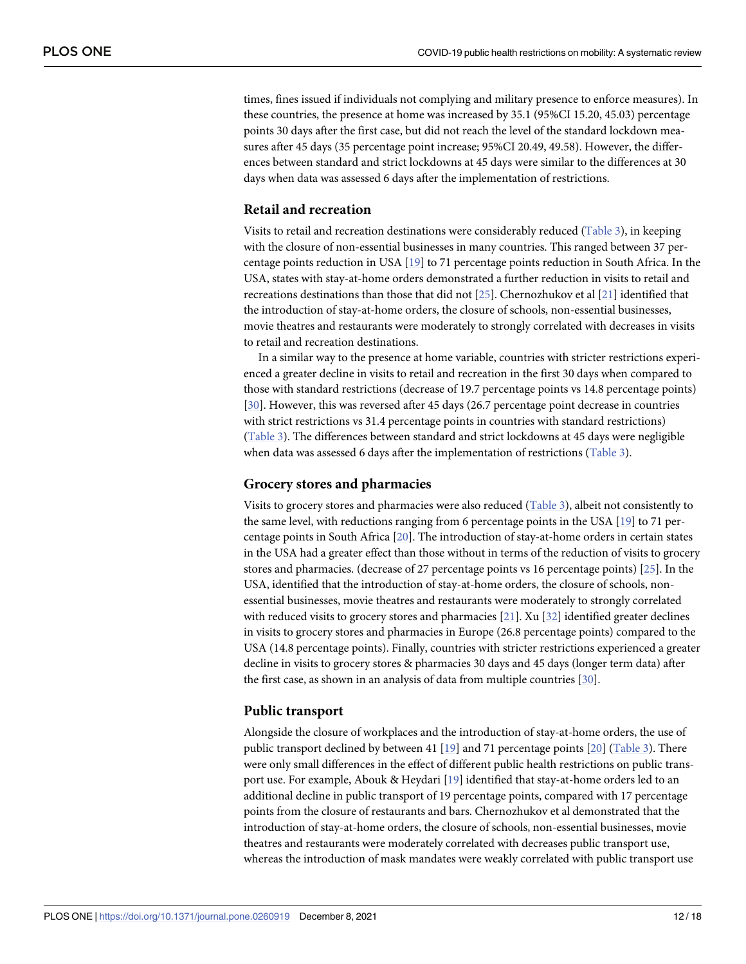times, fines issued if individuals not complying and military presence to enforce measures). In these countries, the presence at home was increased by 35.1 (95%CI 15.20, 45.03) percentage points 30 days after the first case, but did not reach the level of the standard lockdown measures after 45 days (35 percentage point increase; 95%CI 20.49, 49.58). However, the differences between standard and strict lockdowns at 45 days were similar to the differences at 30 days when data was assessed 6 days after the implementation of restrictions.

# **Retail and recreation**

Visits to retail and recreation destinations were considerably reduced [\(Table](#page-9-0) 3), in keeping with the closure of non-essential businesses in many countries. This ranged between 37 percentage points reduction in USA [[19](#page-15-0)] to 71 percentage points reduction in South Africa. In the USA, states with stay-at-home orders demonstrated a further reduction in visits to retail and recreations destinations than those that did not [\[25\]](#page-16-0). Chernozhukov et al [\[21\]](#page-15-0) identified that the introduction of stay-at-home orders, the closure of schools, non-essential businesses, movie theatres and restaurants were moderately to strongly correlated with decreases in visits to retail and recreation destinations.

In a similar way to the presence at home variable, countries with stricter restrictions experienced a greater decline in visits to retail and recreation in the first 30 days when compared to those with standard restrictions (decrease of 19.7 percentage points vs 14.8 percentage points) [\[30\]](#page-16-0). However, this was reversed after 45 days (26.7 percentage point decrease in countries with strict restrictions vs 31.4 percentage points in countries with standard restrictions) [\(Table](#page-9-0) 3). The differences between standard and strict lockdowns at 45 days were negligible when data was assessed 6 days after the implementation of restrictions [\(Table](#page-9-0) 3).

#### **Grocery stores and pharmacies**

Visits to grocery stores and pharmacies were also reduced ([Table](#page-9-0) 3), albeit not consistently to the same level, with reductions ranging from 6 percentage points in the USA [[19](#page-15-0)] to 71 percentage points in South Africa [[20](#page-15-0)]. The introduction of stay-at-home orders in certain states in the USA had a greater effect than those without in terms of the reduction of visits to grocery stores and pharmacies. (decrease of 27 percentage points vs 16 percentage points) [[25](#page-16-0)]. In the USA, identified that the introduction of stay-at-home orders, the closure of schools, nonessential businesses, movie theatres and restaurants were moderately to strongly correlated with reduced visits to grocery stores and pharmacies [\[21\]](#page-15-0). Xu [\[32\]](#page-16-0) identified greater declines in visits to grocery stores and pharmacies in Europe (26.8 percentage points) compared to the USA (14.8 percentage points). Finally, countries with stricter restrictions experienced a greater decline in visits to grocery stores & pharmacies 30 days and 45 days (longer term data) after the first case, as shown in an analysis of data from multiple countries [[30](#page-16-0)].

## **Public transport**

Alongside the closure of workplaces and the introduction of stay-at-home orders, the use of public transport declined by between 41 [[19](#page-15-0)] and 71 percentage points [[20](#page-15-0)] [\(Table](#page-9-0) 3). There were only small differences in the effect of different public health restrictions on public transport use. For example, Abouk & Heydari [\[19\]](#page-15-0) identified that stay-at-home orders led to an additional decline in public transport of 19 percentage points, compared with 17 percentage points from the closure of restaurants and bars. Chernozhukov et al demonstrated that the introduction of stay-at-home orders, the closure of schools, non-essential businesses, movie theatres and restaurants were moderately correlated with decreases public transport use, whereas the introduction of mask mandates were weakly correlated with public transport use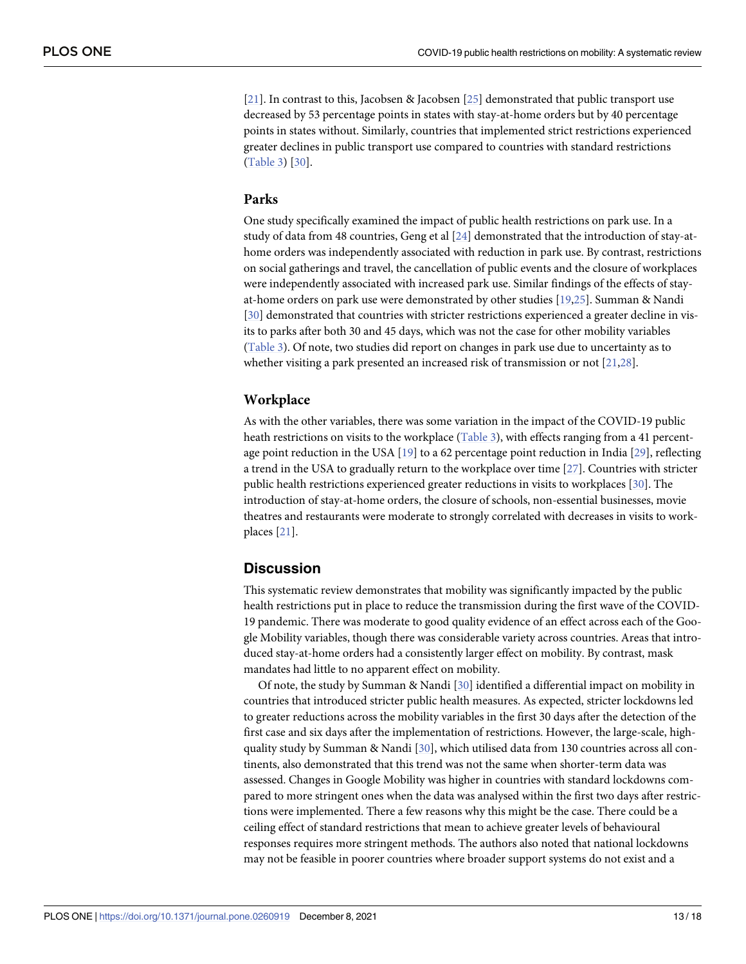[\[21\]](#page-15-0). In contrast to this, Jacobsen & Jacobsen [\[25\]](#page-16-0) demonstrated that public transport use decreased by 53 percentage points in states with stay-at-home orders but by 40 percentage points in states without. Similarly, countries that implemented strict restrictions experienced greater declines in public transport use compared to countries with standard restrictions [\(Table](#page-9-0) 3) [[30](#page-16-0)].

#### **Parks**

One study specifically examined the impact of public health restrictions on park use. In a study of data from 48 countries, Geng et al [\[24\]](#page-16-0) demonstrated that the introduction of stay-athome orders was independently associated with reduction in park use. By contrast, restrictions on social gatherings and travel, the cancellation of public events and the closure of workplaces were independently associated with increased park use. Similar findings of the effects of stayat-home orders on park use were demonstrated by other studies [\[19](#page-15-0)[,25\]](#page-16-0). Summan & Nandi [\[30\]](#page-16-0) demonstrated that countries with stricter restrictions experienced a greater decline in visits to parks after both 30 and 45 days, which was not the case for other mobility variables [\(Table](#page-9-0) 3). Of note, two studies did report on changes in park use due to uncertainty as to whether visiting a park presented an increased risk of transmission or not [\[21](#page-15-0)[,28\]](#page-16-0).

#### **Workplace**

As with the other variables, there was some variation in the impact of the COVID-19 public heath restrictions on visits to the workplace [\(Table](#page-9-0) 3), with effects ranging from a 41 percentage point reduction in the USA  $[19]$  $[19]$  $[19]$  to a 62 percentage point reduction in India  $[29]$  $[29]$  $[29]$ , reflecting a trend in the USA to gradually return to the workplace over time [\[27\]](#page-16-0). Countries with stricter public health restrictions experienced greater reductions in visits to workplaces [\[30\]](#page-16-0). The introduction of stay-at-home orders, the closure of schools, non-essential businesses, movie theatres and restaurants were moderate to strongly correlated with decreases in visits to workplaces [[21](#page-15-0)].

# **Discussion**

This systematic review demonstrates that mobility was significantly impacted by the public health restrictions put in place to reduce the transmission during the first wave of the COVID-19 pandemic. There was moderate to good quality evidence of an effect across each of the Google Mobility variables, though there was considerable variety across countries. Areas that introduced stay-at-home orders had a consistently larger effect on mobility. By contrast, mask mandates had little to no apparent effect on mobility.

Of note, the study by Summan & Nandi [[30](#page-16-0)] identified a differential impact on mobility in countries that introduced stricter public health measures. As expected, stricter lockdowns led to greater reductions across the mobility variables in the first 30 days after the detection of the first case and six days after the implementation of restrictions. However, the large-scale, highquality study by Summan & Nandi [[30](#page-16-0)], which utilised data from 130 countries across all continents, also demonstrated that this trend was not the same when shorter-term data was assessed. Changes in Google Mobility was higher in countries with standard lockdowns compared to more stringent ones when the data was analysed within the first two days after restrictions were implemented. There a few reasons why this might be the case. There could be a ceiling effect of standard restrictions that mean to achieve greater levels of behavioural responses requires more stringent methods. The authors also noted that national lockdowns may not be feasible in poorer countries where broader support systems do not exist and a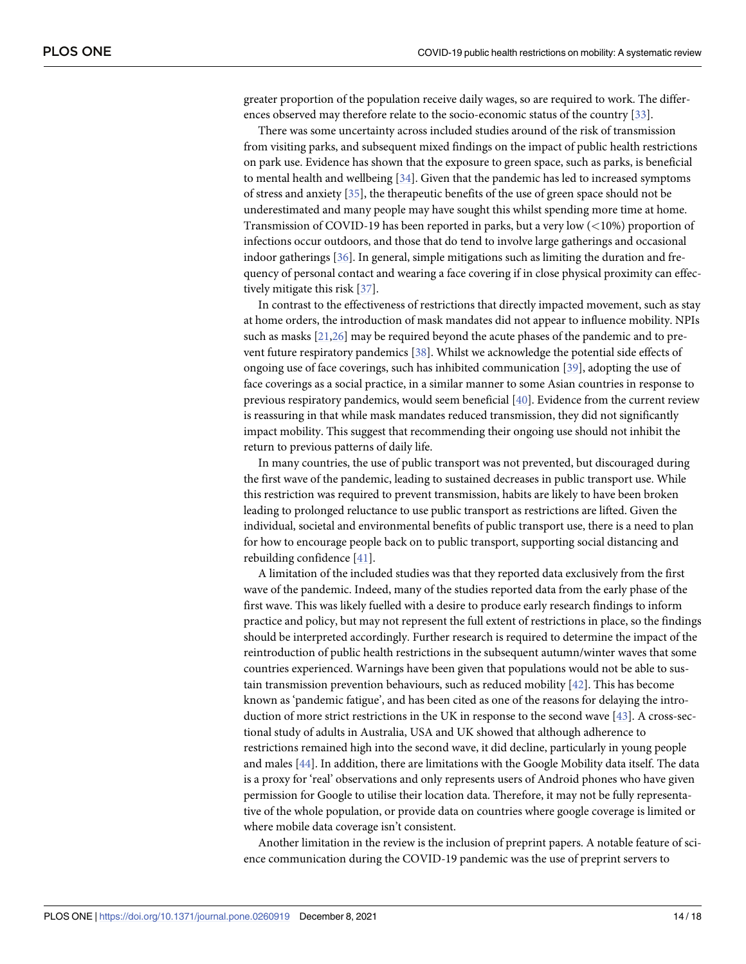<span id="page-13-0"></span>greater proportion of the population receive daily wages, so are required to work. The differences observed may therefore relate to the socio-economic status of the country [\[33\]](#page-16-0).

There was some uncertainty across included studies around of the risk of transmission from visiting parks, and subsequent mixed findings on the impact of public health restrictions on park use. Evidence has shown that the exposure to green space, such as parks, is beneficial to mental health and wellbeing [[34](#page-16-0)]. Given that the pandemic has led to increased symptoms of stress and anxiety [[35](#page-16-0)], the therapeutic benefits of the use of green space should not be underestimated and many people may have sought this whilst spending more time at home. Transmission of COVID-19 has been reported in parks, but a very low (*<*10%) proportion of infections occur outdoors, and those that do tend to involve large gatherings and occasional indoor gatherings [[36](#page-16-0)]. In general, simple mitigations such as limiting the duration and frequency of personal contact and wearing a face covering if in close physical proximity can effectively mitigate this risk [[37](#page-16-0)].

In contrast to the effectiveness of restrictions that directly impacted movement, such as stay at home orders, the introduction of mask mandates did not appear to influence mobility. NPIs such as masks [\[21,](#page-15-0)[26](#page-16-0)] may be required beyond the acute phases of the pandemic and to prevent future respiratory pandemics [[38](#page-16-0)]. Whilst we acknowledge the potential side effects of ongoing use of face coverings, such has inhibited communication [\[39\]](#page-16-0), adopting the use of face coverings as a social practice, in a similar manner to some Asian countries in response to previous respiratory pandemics, would seem beneficial [[40](#page-16-0)]. Evidence from the current review is reassuring in that while mask mandates reduced transmission, they did not significantly impact mobility. This suggest that recommending their ongoing use should not inhibit the return to previous patterns of daily life.

In many countries, the use of public transport was not prevented, but discouraged during the first wave of the pandemic, leading to sustained decreases in public transport use. While this restriction was required to prevent transmission, habits are likely to have been broken leading to prolonged reluctance to use public transport as restrictions are lifted. Given the individual, societal and environmental benefits of public transport use, there is a need to plan for how to encourage people back on to public transport, supporting social distancing and rebuilding confidence [\[41\]](#page-16-0).

A limitation of the included studies was that they reported data exclusively from the first wave of the pandemic. Indeed, many of the studies reported data from the early phase of the first wave. This was likely fuelled with a desire to produce early research findings to inform practice and policy, but may not represent the full extent of restrictions in place, so the findings should be interpreted accordingly. Further research is required to determine the impact of the reintroduction of public health restrictions in the subsequent autumn/winter waves that some countries experienced. Warnings have been given that populations would not be able to sustain transmission prevention behaviours, such as reduced mobility [[42](#page-16-0)]. This has become known as 'pandemic fatigue', and has been cited as one of the reasons for delaying the introduction of more strict restrictions in the UK in response to the second wave [\[43\]](#page-16-0). A cross-sectional study of adults in Australia, USA and UK showed that although adherence to restrictions remained high into the second wave, it did decline, particularly in young people and males [[44](#page-17-0)]. In addition, there are limitations with the Google Mobility data itself. The data is a proxy for 'real' observations and only represents users of Android phones who have given permission for Google to utilise their location data. Therefore, it may not be fully representative of the whole population, or provide data on countries where google coverage is limited or where mobile data coverage isn't consistent.

Another limitation in the review is the inclusion of preprint papers. A notable feature of science communication during the COVID-19 pandemic was the use of preprint servers to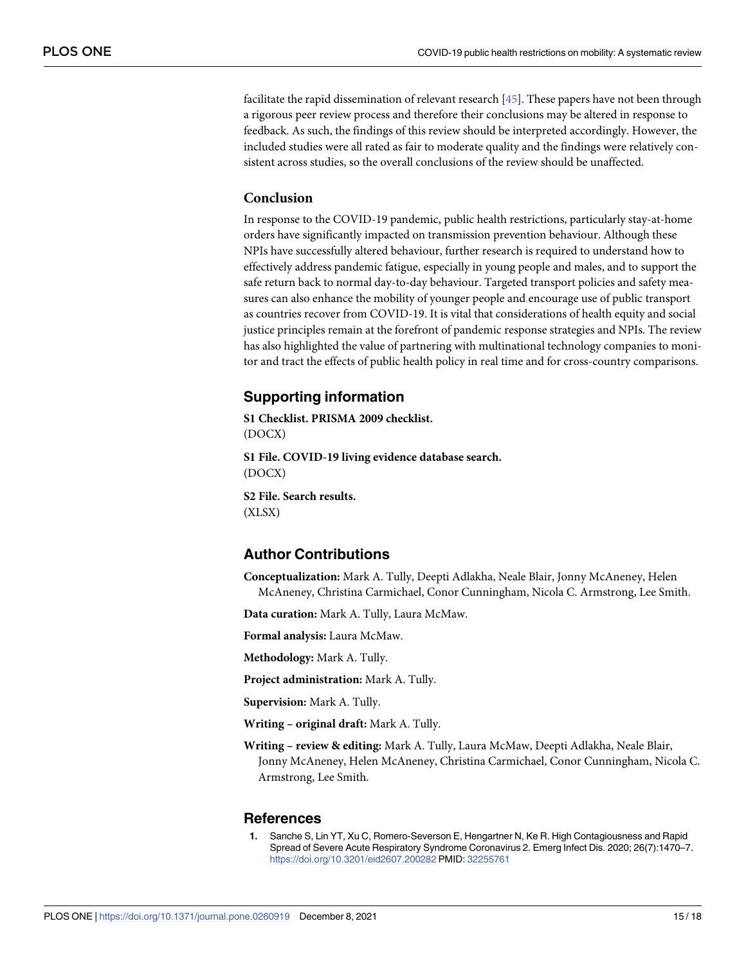<span id="page-14-0"></span>facilitate the rapid dissemination of relevant research [\[45\]](#page-17-0). These papers have not been through a rigorous peer review process and therefore their conclusions may be altered in response to feedback. As such, the findings of this review should be interpreted accordingly. However, the included studies were all rated as fair to moderate quality and the findings were relatively consistent across studies, so the overall conclusions of the review should be unaffected.

### **Conclusion**

In response to the COVID-19 pandemic, public health restrictions, particularly stay-at-home orders have significantly impacted on transmission prevention behaviour. Although these NPIs have successfully altered behaviour, further research is required to understand how to effectively address pandemic fatigue, especially in young people and males, and to support the safe return back to normal day-to-day behaviour. Targeted transport policies and safety measures can also enhance the mobility of younger people and encourage use of public transport as countries recover from COVID-19. It is vital that considerations of health equity and social justice principles remain at the forefront of pandemic response strategies and NPIs. The review has also highlighted the value of partnering with multinational technology companies to monitor and tract the effects of public health policy in real time and for cross-country comparisons.

# **Supporting information**

**S1 [Checklist.](http://www.plosone.org/article/fetchSingleRepresentation.action?uri=info:doi/10.1371/journal.pone.0260919.s001) PRISMA 2009 checklist.** (DOCX)

**S1 [File.](http://www.plosone.org/article/fetchSingleRepresentation.action?uri=info:doi/10.1371/journal.pone.0260919.s002) COVID-19 living evidence database search.** (DOCX)

**S2 [File.](http://www.plosone.org/article/fetchSingleRepresentation.action?uri=info:doi/10.1371/journal.pone.0260919.s003) Search results.** (XLSX)

# **Author Contributions**

**Conceptualization:** Mark A. Tully, Deepti Adlakha, Neale Blair, Jonny McAneney, Helen McAneney, Christina Carmichael, Conor Cunningham, Nicola C. Armstrong, Lee Smith.

**Data curation:** Mark A. Tully, Laura McMaw.

**Formal analysis:** Laura McMaw.

**Methodology:** Mark A. Tully.

**Project administration:** Mark A. Tully.

**Supervision:** Mark A. Tully.

**Writing – original draft:** Mark A. Tully.

**Writing – review & editing:** Mark A. Tully, Laura McMaw, Deepti Adlakha, Neale Blair, Jonny McAneney, Helen McAneney, Christina Carmichael, Conor Cunningham, Nicola C. Armstrong, Lee Smith.

#### **References**

**[1](#page-1-0).** Sanche S, Lin YT, Xu C, Romero-Severson E, Hengartner N, Ke R. High Contagiousness and Rapid Spread of Severe Acute Respiratory Syndrome Coronavirus 2. Emerg Infect Dis. 2020; 26(7):1470–7. <https://doi.org/10.3201/eid2607.200282> PMID: [32255761](http://www.ncbi.nlm.nih.gov/pubmed/32255761)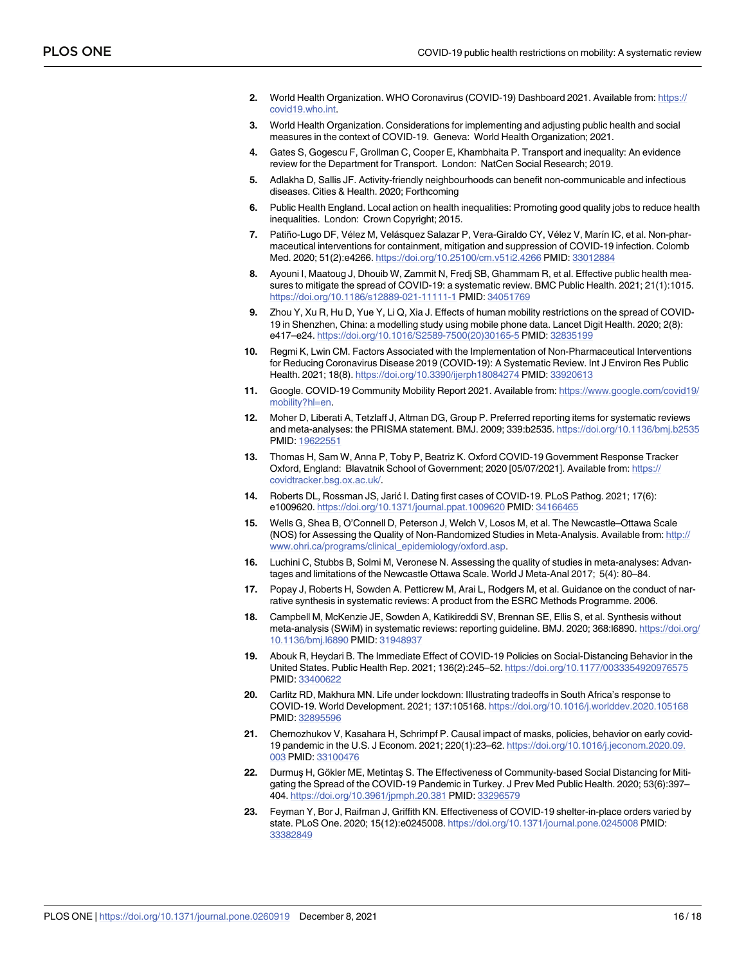- <span id="page-15-0"></span>**[2](#page-1-0).** World Health Organization. WHO Coronavirus (COVID-19) Dashboard 2021. Available from: [https://](https://covid19.who.int) [covid19.who.int.](https://covid19.who.int)
- **[3](#page-1-0).** World Health Organization. Considerations for implementing and adjusting public health and social measures in the context of COVID-19. Geneva: World Health Organization; 2021.
- **[4](#page-1-0).** Gates S, Gogescu F, Grollman C, Cooper E, Khambhaita P. Transport and inequality: An evidence review for the Department for Transport. London: NatCen Social Research; 2019.
- **[5](#page-1-0).** Adlakha D, Sallis JF. Activity-friendly neighbourhoods can benefit non-communicable and infectious diseases. Cities & Health. 2020; Forthcoming
- **[6](#page-1-0).** Public Health England. Local action on health inequalities: Promoting good quality jobs to reduce health inequalities. London: Crown Copyright; 2015.
- **[7](#page-1-0).** Patiño-Lugo DF, Vélez M, Velásquez Salazar P, Vera-Giraldo CY, Vélez V, Marín IC, et al. Non-pharmaceutical interventions for containment, mitigation and suppression of COVID-19 infection. Colomb Med. 2020; 51(2):e4266. <https://doi.org/10.25100/cm.v51i2.4266> PMID: [33012884](http://www.ncbi.nlm.nih.gov/pubmed/33012884)
- **[8](#page-1-0).** Ayouni I, Maatoug J, Dhouib W, Zammit N, Fredj SB, Ghammam R, et al. Effective public health measures to mitigate the spread of COVID-19: a systematic review. BMC Public Health. 2021; 21(1):1015. <https://doi.org/10.1186/s12889-021-11111-1> PMID: [34051769](http://www.ncbi.nlm.nih.gov/pubmed/34051769)
- **[9](#page-1-0).** Zhou Y, Xu R, Hu D, Yue Y, Li Q, Xia J. Effects of human mobility restrictions on the spread of COVID-19 in Shenzhen, China: a modelling study using mobile phone data. Lancet Digit Health. 2020; 2(8): e417–e24. [https://doi.org/10.1016/S2589-7500\(20\)30165-5](https://doi.org/10.1016/S2589-7500%2820%2930165-5) PMID: [32835199](http://www.ncbi.nlm.nih.gov/pubmed/32835199)
- **[10](#page-1-0).** Regmi K, Lwin CM. Factors Associated with the Implementation of Non-Pharmaceutical Interventions for Reducing Coronavirus Disease 2019 (COVID-19): A Systematic Review. Int J Environ Res Public Health. 2021; 18(8). <https://doi.org/10.3390/ijerph18084274> PMID: [33920613](http://www.ncbi.nlm.nih.gov/pubmed/33920613)
- **[11](#page-1-0).** Google. COVID-19 Community Mobility Report 2021. Available from: [https://www.google.com/covid19/](https://www.google.com/covid19/mobility?hl=en) [mobility?hl=en.](https://www.google.com/covid19/mobility?hl=en)
- **[12](#page-1-0).** Moher D, Liberati A, Tetzlaff J, Altman DG, Group P. Preferred reporting items for systematic reviews and meta-analyses: the PRISMA statement. BMJ. 2009; 339:b2535. <https://doi.org/10.1136/bmj.b2535> PMID: [19622551](http://www.ncbi.nlm.nih.gov/pubmed/19622551)
- **[13](#page-2-0).** Thomas H, Sam W, Anna P, Toby P, Beatriz K. Oxford COVID-19 Government Response Tracker Oxford, England: Blavatnik School of Government; 2020 [05/07/2021]. Available from: [https://](https://covidtracker.bsg.ox.ac.uk/) [covidtracker.bsg.ox.ac.uk/](https://covidtracker.bsg.ox.ac.uk/).
- **[14](#page-2-0).** Roberts DL, Rossman JS, Jarić I. Dating first cases of COVID-19. PLoS Pathog. 2021; 17(6): e1009620. <https://doi.org/10.1371/journal.ppat.1009620> PMID: [34166465](http://www.ncbi.nlm.nih.gov/pubmed/34166465)
- **[15](#page-2-0).** Wells G, Shea B, O'Connell D, Peterson J, Welch V, Losos M, et al. The Newcastle–Ottawa Scale (NOS) for Assessing the Quality of Non-Randomized Studies in Meta-Analysis. Available from: [http://](http://www.ohri.ca/programs/clinical_epidemiology/oxford.asp) [www.ohri.ca/programs/clinical\\_epidemiology/oxford.asp](http://www.ohri.ca/programs/clinical_epidemiology/oxford.asp).
- **[16](#page-2-0).** Luchini C, Stubbs B, Solmi M, Veronese N. Assessing the quality of studies in meta-analyses: Advantages and limitations of the Newcastle Ottawa Scale. World J Meta-Anal 2017; 5(4): 80–84.
- **[17](#page-3-0).** Popay J, Roberts H, Sowden A. Petticrew M, Arai L, Rodgers M, et al. Guidance on the conduct of narrative synthesis in systematic reviews: A product from the ESRC Methods Programme. 2006.
- **[18](#page-3-0).** Campbell M, McKenzie JE, Sowden A, Katikireddi SV, Brennan SE, Ellis S, et al. Synthesis without meta-analysis (SWiM) in systematic reviews: reporting guideline. BMJ. 2020; 368:l6890. [https://doi.org/](https://doi.org/10.1136/bmj.l6890) [10.1136/bmj.l6890](https://doi.org/10.1136/bmj.l6890) PMID: [31948937](http://www.ncbi.nlm.nih.gov/pubmed/31948937)
- **[19](#page-4-0).** Abouk R, Heydari B. The Immediate Effect of COVID-19 Policies on Social-Distancing Behavior in the United States. Public Health Rep. 2021; 136(2):245–52. <https://doi.org/10.1177/0033354920976575> PMID: [33400622](http://www.ncbi.nlm.nih.gov/pubmed/33400622)
- **[20](#page-4-0).** Carlitz RD, Makhura MN. Life under lockdown: Illustrating tradeoffs in South Africa's response to COVID-19. World Development. 2021; 137:105168. <https://doi.org/10.1016/j.worlddev.2020.105168> PMID: [32895596](http://www.ncbi.nlm.nih.gov/pubmed/32895596)
- **[21](#page-4-0).** Chernozhukov V, Kasahara H, Schrimpf P. Causal impact of masks, policies, behavior on early covid-19 pandemic in the U.S. J Econom. 2021; 220(1):23–62. [https://doi.org/10.1016/j.jeconom.2020.09.](https://doi.org/10.1016/j.jeconom.2020.09.003) [003](https://doi.org/10.1016/j.jeconom.2020.09.003) PMID: [33100476](http://www.ncbi.nlm.nih.gov/pubmed/33100476)
- **[22](#page-4-0).** Durmus H, Gökler ME, Metintas S. The Effectiveness of Community-based Social Distancing for Mitigating the Spread of the COVID-19 Pandemic in Turkey. J Prev Med Public Health. 2020; 53(6):397– 404. <https://doi.org/10.3961/jpmph.20.381> PMID: [33296579](http://www.ncbi.nlm.nih.gov/pubmed/33296579)
- **[23](#page-4-0).** Feyman Y, Bor J, Raifman J, Griffith KN. Effectiveness of COVID-19 shelter-in-place orders varied by state. PLoS One. 2020; 15(12):e0245008. <https://doi.org/10.1371/journal.pone.0245008> PMID: [33382849](http://www.ncbi.nlm.nih.gov/pubmed/33382849)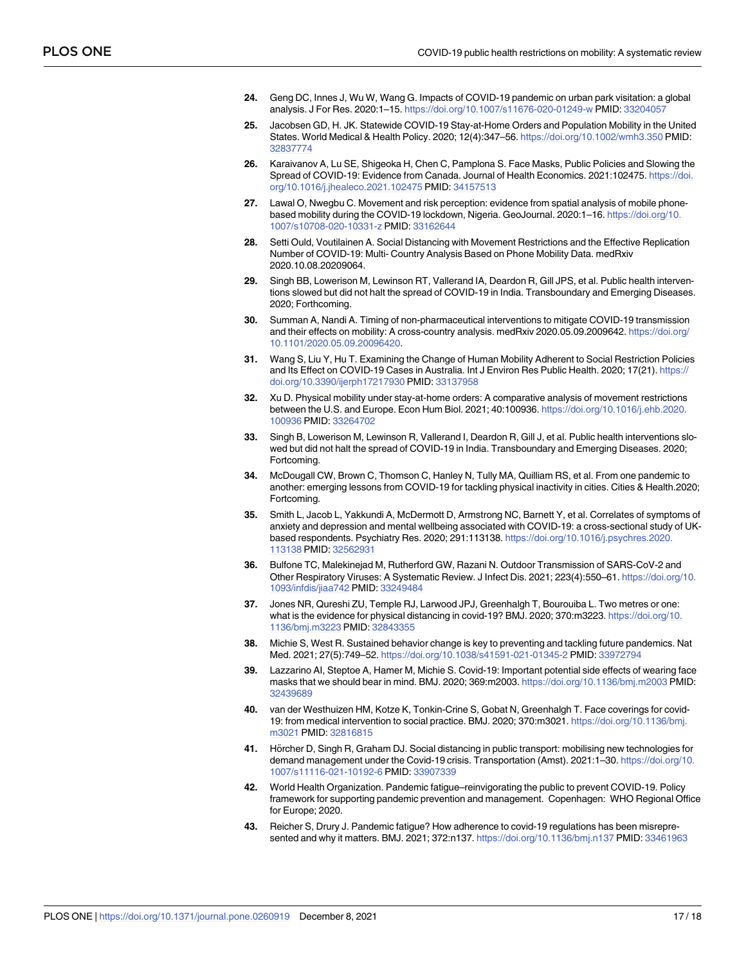- <span id="page-16-0"></span>**[24](#page-4-0).** Geng DC, Innes J, Wu W, Wang G. Impacts of COVID-19 pandemic on urban park visitation: a global analysis. J For Res. 2020:1–15. <https://doi.org/10.1007/s11676-020-01249-w> PMID: [33204057](http://www.ncbi.nlm.nih.gov/pubmed/33204057)
- **[25](#page-4-0).** Jacobsen GD, H. JK. Statewide COVID-19 Stay-at-Home Orders and Population Mobility in the United States. World Medical & Health Policy. 2020; 12(4):347–56. <https://doi.org/10.1002/wmh3.350> PMID: [32837774](http://www.ncbi.nlm.nih.gov/pubmed/32837774)
- **[26](#page-4-0).** Karaivanov A, Lu SE, Shigeoka H, Chen C, Pamplona S. Face Masks, Public Policies and Slowing the Spread of COVID-19: Evidence from Canada. Journal of Health Economics. 2021:102475. [https://doi.](https://doi.org/10.1016/j.jhealeco.2021.102475) [org/10.1016/j.jhealeco.2021.102475](https://doi.org/10.1016/j.jhealeco.2021.102475) PMID: [34157513](http://www.ncbi.nlm.nih.gov/pubmed/34157513)
- **[27](#page-4-0).** Lawal O, Nwegbu C. Movement and risk perception: evidence from spatial analysis of mobile phonebased mobility during the COVID-19 lockdown, Nigeria. GeoJournal. 2020:1–16. [https://doi.org/10.](https://doi.org/10.1007/s10708-020-10331-z) [1007/s10708-020-10331-z](https://doi.org/10.1007/s10708-020-10331-z) PMID: [33162644](http://www.ncbi.nlm.nih.gov/pubmed/33162644)
- **[28](#page-4-0).** Setti Ould, Voutilainen A. Social Distancing with Movement Restrictions and the Effective Replication Number of COVID-19: Multi- Country Analysis Based on Phone Mobility Data. medRxiv 2020.10.08.20209064.
- **[29](#page-4-0).** Singh BB, Lowerison M, Lewinson RT, Vallerand IA, Deardon R, Gill JPS, et al. Public health interventions slowed but did not halt the spread of COVID-19 in India. Transboundary and Emerging Diseases. 2020; Forthcoming.
- **[30](#page-4-0).** Summan A, Nandi A. Timing of non-pharmaceutical interventions to mitigate COVID-19 transmission and their effects on mobility: A cross-country analysis. medRxiv 2020.05.09.2009642. [https://doi.org/](https://doi.org/10.1101/2020.05.09.20096420) [10.1101/2020.05.09.20096420](https://doi.org/10.1101/2020.05.09.20096420).
- **[31](#page-4-0).** Wang S, Liu Y, Hu T. Examining the Change of Human Mobility Adherent to Social Restriction Policies and Its Effect on COVID-19 Cases in Australia. Int J Environ Res Public Health. 2020; 17(21). [https://](https://doi.org/10.3390/ijerph17217930) [doi.org/10.3390/ijerph17217930](https://doi.org/10.3390/ijerph17217930) PMID: [33137958](http://www.ncbi.nlm.nih.gov/pubmed/33137958)
- **[32](#page-4-0).** Xu D. Physical mobility under stay-at-home orders: A comparative analysis of movement restrictions between the U.S. and Europe. Econ Hum Biol. 2021; 40:100936. [https://doi.org/10.1016/j.ehb.2020.](https://doi.org/10.1016/j.ehb.2020.100936) [100936](https://doi.org/10.1016/j.ehb.2020.100936) PMID: [33264702](http://www.ncbi.nlm.nih.gov/pubmed/33264702)
- **[33](#page-13-0).** Singh B, Lowerison M, Lewinson R, Vallerand I, Deardon R, Gill J, et al. Public health interventions slowed but did not halt the spread of COVID-19 in India. Transboundary and Emerging Diseases. 2020; Fortcoming.
- **[34](#page-13-0).** McDougall CW, Brown C, Thomson C, Hanley N, Tully MA, Quilliam RS, et al. From one pandemic to another: emerging lessons from COVID-19 for tackling physical inactivity in cities. Cities & Health.2020; Fortcoming.
- **[35](#page-13-0).** Smith L, Jacob L, Yakkundi A, McDermott D, Armstrong NC, Barnett Y, et al. Correlates of symptoms of anxiety and depression and mental wellbeing associated with COVID-19: a cross-sectional study of UKbased respondents. Psychiatry Res. 2020; 291:113138. [https://doi.org/10.1016/j.psychres.2020.](https://doi.org/10.1016/j.psychres.2020.113138) [113138](https://doi.org/10.1016/j.psychres.2020.113138) PMID: [32562931](http://www.ncbi.nlm.nih.gov/pubmed/32562931)
- **[36](#page-13-0).** Bulfone TC, Malekinejad M, Rutherford GW, Razani N. Outdoor Transmission of SARS-CoV-2 and Other Respiratory Viruses: A Systematic Review. J Infect Dis. 2021; 223(4):550–61. [https://doi.org/10.](https://doi.org/10.1093/infdis/jiaa742) [1093/infdis/jiaa742](https://doi.org/10.1093/infdis/jiaa742) PMID: [33249484](http://www.ncbi.nlm.nih.gov/pubmed/33249484)
- **[37](#page-13-0).** Jones NR, Qureshi ZU, Temple RJ, Larwood JPJ, Greenhalgh T, Bourouiba L. Two metres or one: what is the evidence for physical distancing in covid-19? BMJ. 2020; 370:m3223. [https://doi.org/10.](https://doi.org/10.1136/bmj.m3223) [1136/bmj.m3223](https://doi.org/10.1136/bmj.m3223) PMID: [32843355](http://www.ncbi.nlm.nih.gov/pubmed/32843355)
- **[38](#page-13-0).** Michie S, West R. Sustained behavior change is key to preventing and tackling future pandemics. Nat Med. 2021; 27(5):749–52. <https://doi.org/10.1038/s41591-021-01345-2> PMID: [33972794](http://www.ncbi.nlm.nih.gov/pubmed/33972794)
- **[39](#page-13-0).** Lazzarino AI, Steptoe A, Hamer M, Michie S. Covid-19: Important potential side effects of wearing face masks that we should bear in mind. BMJ. 2020; 369:m2003. <https://doi.org/10.1136/bmj.m2003> PMID: [32439689](http://www.ncbi.nlm.nih.gov/pubmed/32439689)
- **[40](#page-13-0).** van der Westhuizen HM, Kotze K, Tonkin-Crine S, Gobat N, Greenhalgh T. Face coverings for covid-19: from medical intervention to social practice. BMJ. 2020; 370:m3021. [https://doi.org/10.1136/bmj.](https://doi.org/10.1136/bmj.m3021) [m3021](https://doi.org/10.1136/bmj.m3021) PMID: [32816815](http://www.ncbi.nlm.nih.gov/pubmed/32816815)
- **[41](#page-13-0).** Hörcher D, Singh R, Graham DJ. Social distancing in public transport: mobilising new technologies for demand management under the Covid-19 crisis. Transportation (Amst). 2021:1–30. [https://doi.org/10.](https://doi.org/10.1007/s11116-021-10192-6) [1007/s11116-021-10192-6](https://doi.org/10.1007/s11116-021-10192-6) PMID: [33907339](http://www.ncbi.nlm.nih.gov/pubmed/33907339)
- **[42](#page-13-0).** World Health Organization. Pandemic fatigue–reinvigorating the public to prevent COVID-19. Policy framework for supporting pandemic prevention and management. Copenhagen: WHO Regional Office for Europe; 2020.
- **[43](#page-13-0).** Reicher S, Drury J. Pandemic fatigue? How adherence to covid-19 regulations has been misrepresented and why it matters. BMJ. 2021; 372:n137. <https://doi.org/10.1136/bmj.n137> PMID: [33461963](http://www.ncbi.nlm.nih.gov/pubmed/33461963)